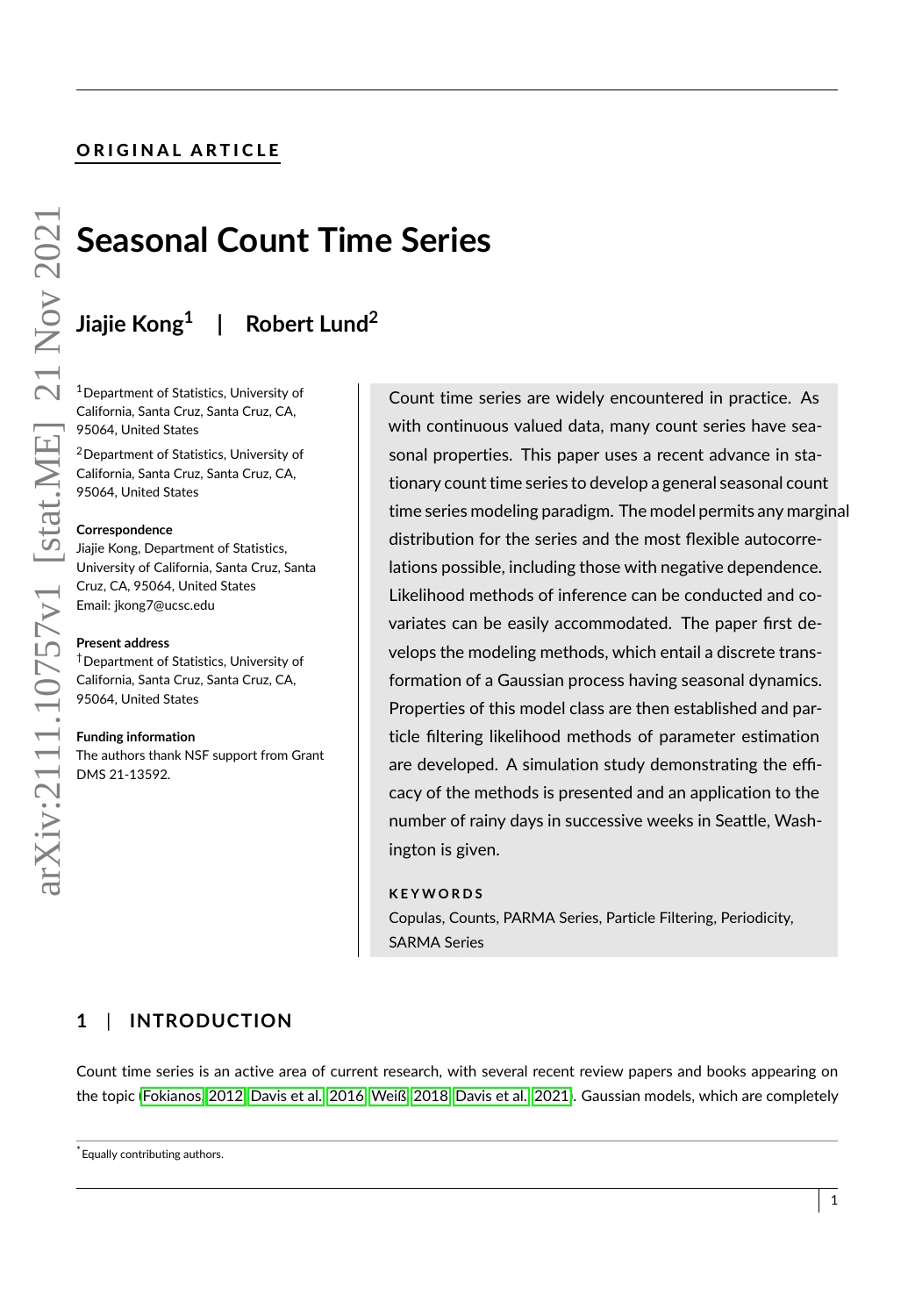# ORIGINAL ARTICLE

# **Seasonal Count Time Series**

#### **Jiajie Kong<sup>1</sup> | Robert Lund<sup>2</sup>**

<sup>1</sup>Department of Statistics, University of California, Santa Cruz, Santa Cruz, CA, 95064, United States

<sup>2</sup>Department of Statistics, University of California, Santa Cruz, Santa Cruz, CA, 95064, United States

#### **Correspondence**

Jiajie Kong, Department of Statistics, University of California, Santa Cruz, Santa Cruz, CA, 95064, United States Email: jkong7@ucsc.edu

#### **Present address**

†Department of Statistics, University of California, Santa Cruz, Santa Cruz, CA, 95064, United States

#### **Funding information**

The authors thank NSF support from Grant DMS 21-13592.

Count time series are widely encountered in practice. As with continuous valued data, many count series have seasonal properties. This paper uses a recent advance in stationary count time series to develop a general seasonal count time series modeling paradigm. The model permits any marginal distribution for the series and the most flexible autocorrelations possible, including those with negative dependence. Likelihood methods of inference can be conducted and covariates can be easily accommodated. The paper first develops the modeling methods, which entail a discrete transformation of a Gaussian process having seasonal dynamics. Properties of this model class are then established and particle filtering likelihood methods of parameter estimation are developed. A simulation study demonstrating the efficacy of the methods is presented and an application to the number of rainy days in successive weeks in Seattle, Washington is given.

#### **K E Y W O R D S**

Copulas, Counts, PARMA Series, Particle Filtering, Periodicity, SARMA Series

# **1** | **INTRODUCTION**

Count time series is an active area of current research, with several recent review papers and books appearing on the topic [\(Fokianos, 2012,](#page-26-0) [Davis et al., 2016,](#page-26-1) [Weiß, 2018,](#page-28-0) [Davis et al., 2021\)](#page-26-2). Gaussian models, which are completely

\*Equally contributing authors.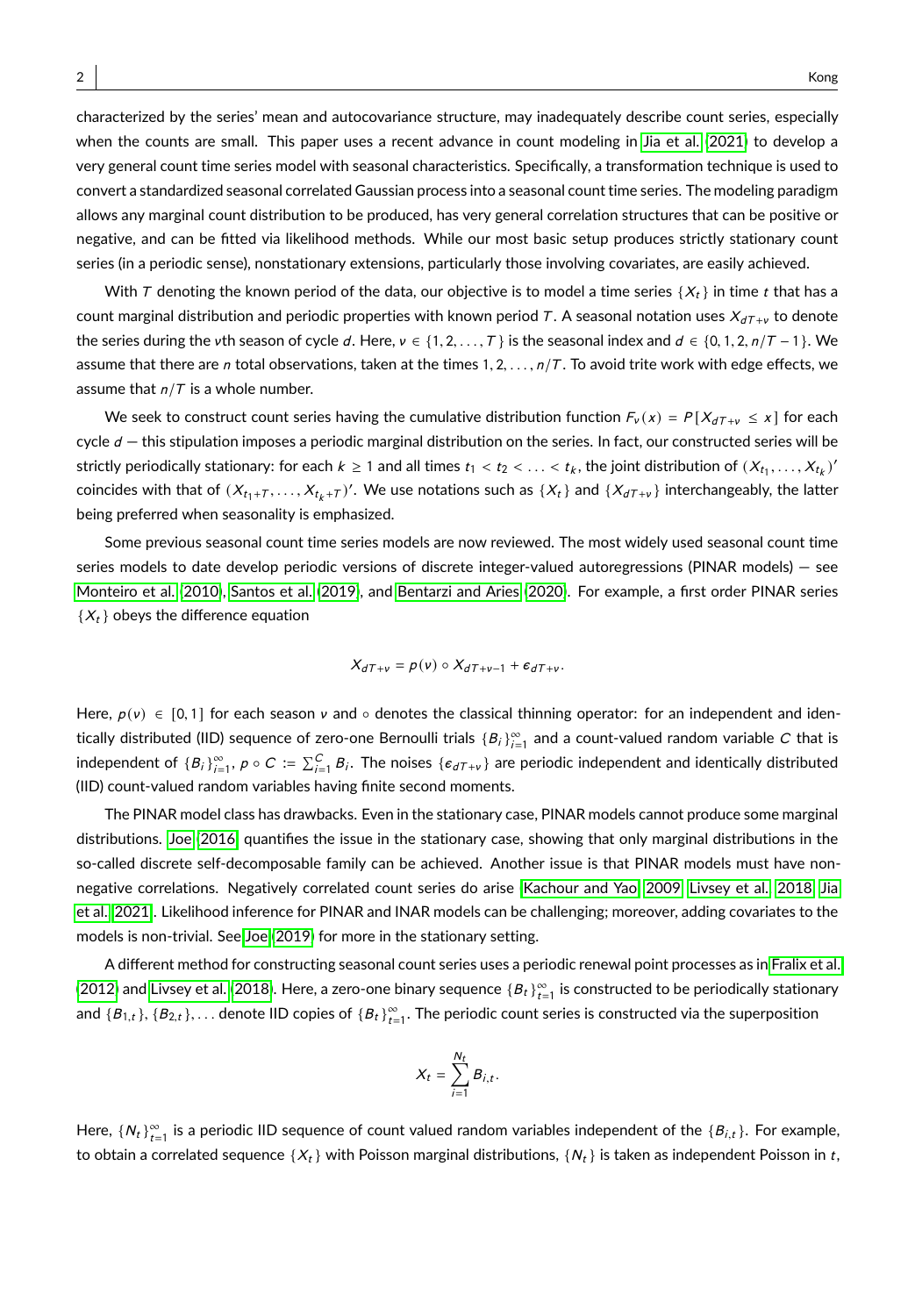characterized by the series' mean and autocovariance structure, may inadequately describe count series, especially when the counts are small. This paper uses a recent advance in count modeling in [Jia et al.](#page-27-0) [\(2021\)](#page-27-0) to develop a very general count time series model with seasonal characteristics. Specifically, a transformation technique is used to convert a standardized seasonal correlated Gaussian process into a seasonal count time series. The modeling paradigm allows any marginal count distribution to be produced, has very general correlation structures that can be positive or negative, and can be fitted via likelihood methods. While our most basic setup produces strictly stationary count series (in a periodic sense), nonstationary extensions, particularly those involving covariates, are easily achieved.

With T denoting the known period of the data, our objective is to model a time series { $X_t$ } in time t that has a count marginal distribution and periodic properties with known period T. A seasonal notation uses  $X_{dT+\nu}$  to denote the series during the vth season of cycle d. Here,  $v \in \{1, 2, ..., T\}$  is the seasonal index and  $d \in \{0, 1, 2, n/T - 1\}$ . We assume that there are n total observations, taken at the times  $1, 2, \ldots, n/T$ . To avoid trite work with edge effects, we assume that  $n/T$  is a whole number.

We seek to construct count series having the cumulative distribution function  $F_v(x) = P[X_{dT+v} \le x]$  for each cycle  $d$  – this stipulation imposes a periodic marginal distribution on the series. In fact, our constructed series will be strictly periodically stationary: for each  $k \ge 1$  and all times  $t_1 < t_2 < \ldots < t_k$ , the joint distribution of  $(X_{t_1}, \ldots, X_{t_k})'$ coincides with that of  $(X_{t_1+T},...,X_{t_k+T})'$ . We use notations such as  $\{X_t\}$  and  $\{X_{dT+\nu}\}$  interchangeably, the latter being preferred when seasonality is emphasized.

Some previous seasonal count time series models are now reviewed. The most widely used seasonal count time series models to date develop periodic versions of discrete integer-valued autoregressions (PINAR models) — see [Monteiro et al. \(2010\)](#page-27-1), [Santos et al. \(2019\)](#page-28-1), and [Bentarzi and Aries](#page-25-0) [\(2020\)](#page-25-0). For example, a first order PINAR series  $\{X_t\}$  obeys the difference equation

$$
X_{dT+\nu} = \rho(\nu) \circ X_{dT+\nu-1} + \epsilon_{dT+\nu}.
$$

Here,  $p(v) \in [0,1]$  for each season v and ∘ denotes the classical thinning operator: for an independent and identically distributed (IID) sequence of zero-one Bernoulli trials  $\{B_i\}_{i=1}^\infty$  and a count-valued random variable  $C$  that is independent of  $\{B_i\}_{i=1}^\infty$ ,  $\rho\circ C\coloneqq\sum_{i=1}^C B_i$ . The noises  $\{\epsilon_{dT+\nu}\}$  are periodic independent and identically distributed (IID) count-valued random variables having finite second moments.

The PINAR model class has drawbacks. Even in the stationary case, PINAR models cannot produce some marginal distributions. [Joe \(2016\)](#page-27-2) quantifies the issue in the stationary case, showing that only marginal distributions in the so-called discrete self-decomposable family can be achieved. Another issue is that PINAR models must have nonnegative correlations. Negatively correlated count series do arise [\(Kachour and Yao, 2009,](#page-27-3) [Livsey et al., 2018,](#page-27-4) [Jia](#page-27-0) [et al., 2021\)](#page-27-0). Likelihood inference for PINAR and INAR models can be challenging; moreover, adding covariates to the models is non-trivial. See [Joe](#page-27-5) [\(2019\)](#page-27-5) for more in the stationary setting.

A different method for constructing seasonal count series uses a periodic renewal point processes as in [Fralix et al.](#page-26-3) [\(2012\)](#page-26-3) and [Livsey et al. \(2018\)](#page-27-4). Here, a zero-one binary sequence  $\{B_t\}_{t=1}^\infty$  is constructed to be periodically stationary and  $\{B_{1,t}\}, \{B_{2,t}\},\ldots$  denote IID copies of  $\{B_t\}_{t=1}^\infty$ . The periodic count series is constructed via the superposition

$$
X_t = \sum_{i=1}^{N_t} B_{i,t}.
$$

Here,  $\{N_t\}_{t=1}^{\infty}$  is a periodic IID sequence of count valued random variables independent of the  $\{B_{i,t}\}$ . For example, to obtain a correlated sequence  $\{X_t\}$  with Poisson marginal distributions,  $\{N_t\}$  is taken as independent Poisson in t,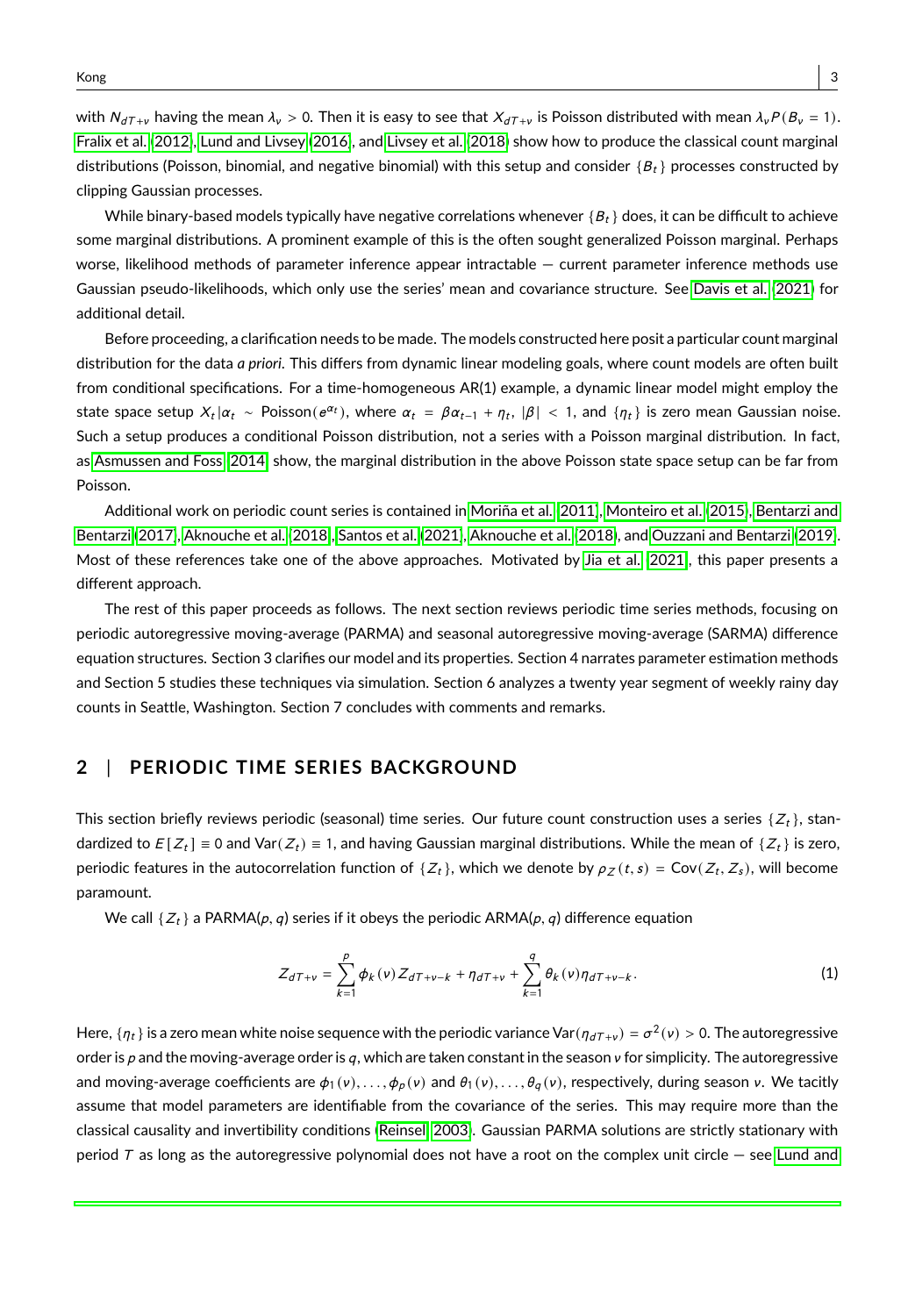with  $N_{dT+\nu}$  having the mean  $\lambda_{\nu} > 0$ . Then it is easy to see that  $X_{dT+\nu}$  is Poisson distributed with mean  $\lambda_{\nu}P(B_{\nu} = 1)$ . [Fralix et al.](#page-26-3) [\(2012\)](#page-26-3), [Lund and Livsey](#page-27-6) [\(2016\)](#page-27-6), and [Livsey et al. \(2018\)](#page-27-4) show how to produce the classical count marginal distributions (Poisson, binomial, and negative binomial) with this setup and consider  ${B_t}$  processes constructed by clipping Gaussian processes.

While binary-based models typically have negative correlations whenever  ${B_t}$  does, it can be difficult to achieve some marginal distributions. A prominent example of this is the often sought generalized Poisson marginal. Perhaps worse, likelihood methods of parameter inference appear intractable — current parameter inference methods use Gaussian pseudo-likelihoods, which only use the series' mean and covariance structure. See [Davis et al.](#page-26-2) [\(2021\)](#page-26-2) for additional detail.

Before proceeding, a clarification needs to be made. The models constructed here posit a particular count marginal distribution for the data *a priori*. This differs from dynamic linear modeling goals, where count models are often built from conditional specifications. For a time-homogeneous AR(1) example, a dynamic linear model might employ the state space setup  $X_t | \alpha_t \sim \text{Poisson}(e^{\alpha_t})$ , where  $\alpha_t = \beta \alpha_{t-1} + \eta_t$ ,  $|\beta| < 1$ , and  $\{\eta_t\}$  is zero mean Gaussian noise. Such a setup produces a conditional Poisson distribution, not a series with a Poisson marginal distribution. In fact, as [Asmussen and Foss](#page-25-1) [\(2014\)](#page-25-1) show, the marginal distribution in the above Poisson state space setup can be far from Poisson.

Additional work on periodic count series is contained in [Moriña et al.](#page-27-7) [\(2011\)](#page-27-7), [Monteiro et al.](#page-27-8) [\(2015\)](#page-27-8), [Bentarzi and](#page-25-2) [Bentarzi \(2017\)](#page-25-2), [Aknouche et al.](#page-25-3) [\(2018\)](#page-25-3), [Santos et al.](#page-28-2) [\(2021\)](#page-28-2), [Aknouche et al.](#page-25-3) [\(2018\)](#page-25-3), and [Ouzzani and Bentarzi](#page-28-3) [\(2019\)](#page-28-3). Most of these references take one of the above approaches. Motivated by [Jia et al. \(2021\)](#page-27-0), this paper presents a different approach.

The rest of this paper proceeds as follows. The next section reviews periodic time series methods, focusing on periodic autoregressive moving-average (PARMA) and seasonal autoregressive moving-average (SARMA) difference equation structures. Section 3 clarifies our model and its properties. Section 4 narrates parameter estimation methods and Section 5 studies these techniques via simulation. Section 6 analyzes a twenty year segment of weekly rainy day counts in Seattle, Washington. Section 7 concludes with comments and remarks.

## **2** | **PERIODIC TIME SERIES BACKGROUND**

This section briefly reviews periodic (seasonal) time series. Our future count construction uses a series  $\{Z_t\}$ , standardized to  $E[Z_t] \equiv 0$  and  $Var(Z_t) \equiv 1$ , and having Gaussian marginal distributions. While the mean of  $\{Z_t\}$  is zero, periodic features in the autocorrelation function of  $\{Z_t\}$ , which we denote by  $\rho_Z(t,s) = \text{Cov}(Z_t, Z_s)$ , will become paramount.

We call  $\{Z_t\}$  a PARMA(p, q) series if it obeys the periodic ARMA(p, q) difference equation

$$
Z_{dT+\nu} = \sum_{k=1}^{p} \phi_k(\nu) Z_{dT+\nu-k} + \eta_{dT+\nu} + \sum_{k=1}^{q} \theta_k(\nu) \eta_{dT+\nu-k}.
$$
 (1)

Here,  $\{\eta_t\}$  is a zero mean white noise sequence with the periodic variance Var $(\eta_{dT+\nu}) = \sigma^2(\nu) > 0$ . The autoregressive order is p and the moving-average order is q, which are taken constant in the season  $v$  for simplicity. The autoregressive and moving-average coefficients are  $\phi_1(v), \ldots, \phi_p(v)$  and  $\theta_1(v), \ldots, \theta_q(v)$ , respectively, during season v. We tacitly assume that model parameters are identifiable from the covariance of the series. This may require more than the classical causality and invertibility conditions [\(Reinsel, 2003\)](#page-28-4). Gaussian PARMA solutions are strictly stationary with period  $T$  as long as the autoregressive polynomial does not have a root on the complex unit circle  $-$  see [Lund and](#page-27-9)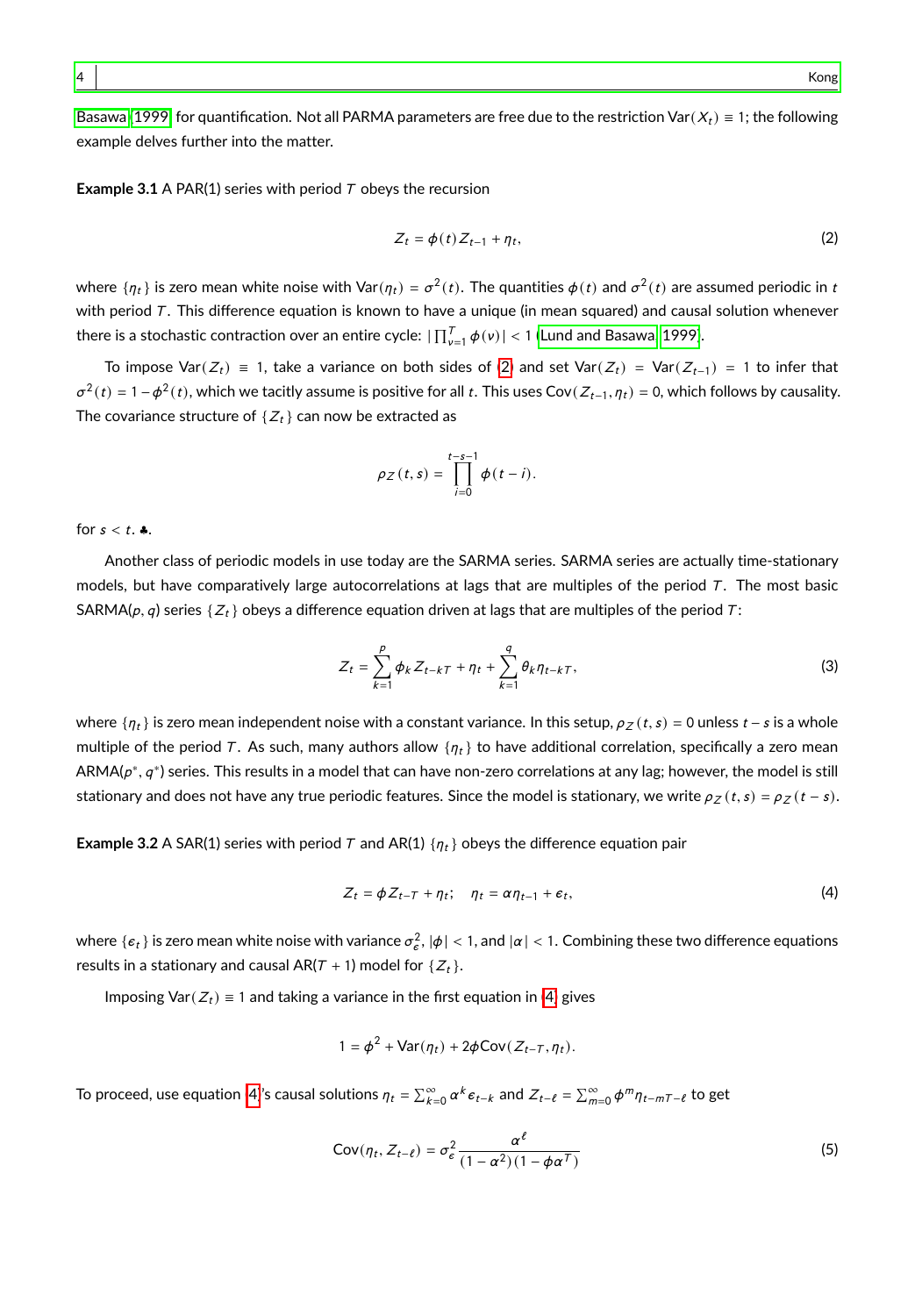[Basawa](#page-27-9) [\(1999\)](#page-27-9) for quantification. Not all PARMA parameters are free due to the restriction Var $(X_t) \equiv 1$ ; the following example delves further into the matter.

**Example 3.1** A PAR(1) series with period  $T$  obeys the recursion

<span id="page-3-0"></span>
$$
Z_t = \phi(t) Z_{t-1} + \eta_t,\tag{2}
$$

where  $\{\eta_t\}$  is zero mean white noise with Var $(\eta_t)=\sigma^2(t).$  The quantities  $\phi(t)$  and  $\sigma^2(t)$  are assumed periodic in  $t$ with period  $T$ . This difference equation is known to have a unique (in mean squared) and causal solution whenever there is a stochastic contraction over an entire cycle:  $\prod_{\nu=1}^7 \phi(\nu) < 1$  [\(Lund and Basawa, 1999\)](#page-27-9).

To impose Var( $Z_t$ ) ≡ 1, take a variance on both sides of [\(2\)](#page-3-0) and set Var( $Z_t$ ) = Var( $Z_{t-1}$ ) = 1 to infer that  $σ<sup>2</sup>(t) = 1 − φ<sup>2</sup>(t)$ , which we tacitly assume is positive for all t. This uses Cov( $Z_{t-1}, η_t$ ) = 0, which follows by causality. The covariance structure of  $\{Z_t\}$  can now be extracted as

$$
\rho_Z(t,s)=\prod_{i=0}^{t-s-1}\phi(t-i).
$$

for  $s < t$ .  $\clubsuit$ .

Another class of periodic models in use today are the SARMA series. SARMA series are actually time-stationary models, but have comparatively large autocorrelations at lags that are multiples of the period  $T$ . The most basic SARMA( $p, q$ ) series { $Z_t$ } obeys a difference equation driven at lags that are multiples of the period T:

$$
Z_t = \sum_{k=1}^p \phi_k Z_{t-k} \tau + \eta_t + \sum_{k=1}^q \theta_k \eta_{t-k} \tau, \qquad (3)
$$

where  $\{\eta_t\}$  is zero mean independent noise with a constant variance. In this setup,  $\rho_Z(t,s) = 0$  unless  $t - s$  is a whole multiple of the period T. As such, many authors allow  $\{\eta_t\}$  to have additional correlation, specifically a zero mean  $ARMA(p^*, q^*)$  series. This results in a model that can have non-zero correlations at any lag; however, the model is still stationary and does not have any true periodic features. Since the model is stationary, we write  $\rho_Z(t,s) = \rho_Z(t-s)$ .

**Example 3.2** A SAR(1) series with period T and AR(1)  $\{\eta_t\}$  obeys the difference equation pair

<span id="page-3-1"></span>
$$
Z_t = \phi Z_{t-T} + \eta_t; \quad \eta_t = \alpha \eta_{t-1} + \epsilon_t,
$$
\n(4)

where  $\{\epsilon_t\}$  is zero mean white noise with variance  $\sigma_\epsilon^2$ ,  $|\phi| < 1$ , and  $|\alpha| < 1$ . Combining these two difference equations results in a stationary and causal AR( $T + 1$ ) model for  $\{Z_t\}$ .

Imposing Var( $Z_t$ ) = 1 and taking a variance in the first equation in [\(4\)](#page-3-1) gives

<span id="page-3-2"></span>
$$
1 = \phi^2 + \text{Var}(\eta_t) + 2\phi \text{Cov}(Z_{t-T}, \eta_t).
$$

To proceed, use equation [\(4\)](#page-3-1)'s causal solutions  $\eta_t=\sum_{k=0}^\infty\alpha^k\epsilon_{t-k}$  and  $Z_{t-\ell}=\sum_{m=0}^\infty\phi^m\eta_{t-m\tau-\ell}$  to get

$$
Cov(\eta_t, Z_{t-\ell}) = \sigma_{\epsilon}^2 \frac{\alpha^{\ell}}{(1 - \alpha^2)(1 - \phi \alpha^T)}
$$
(5)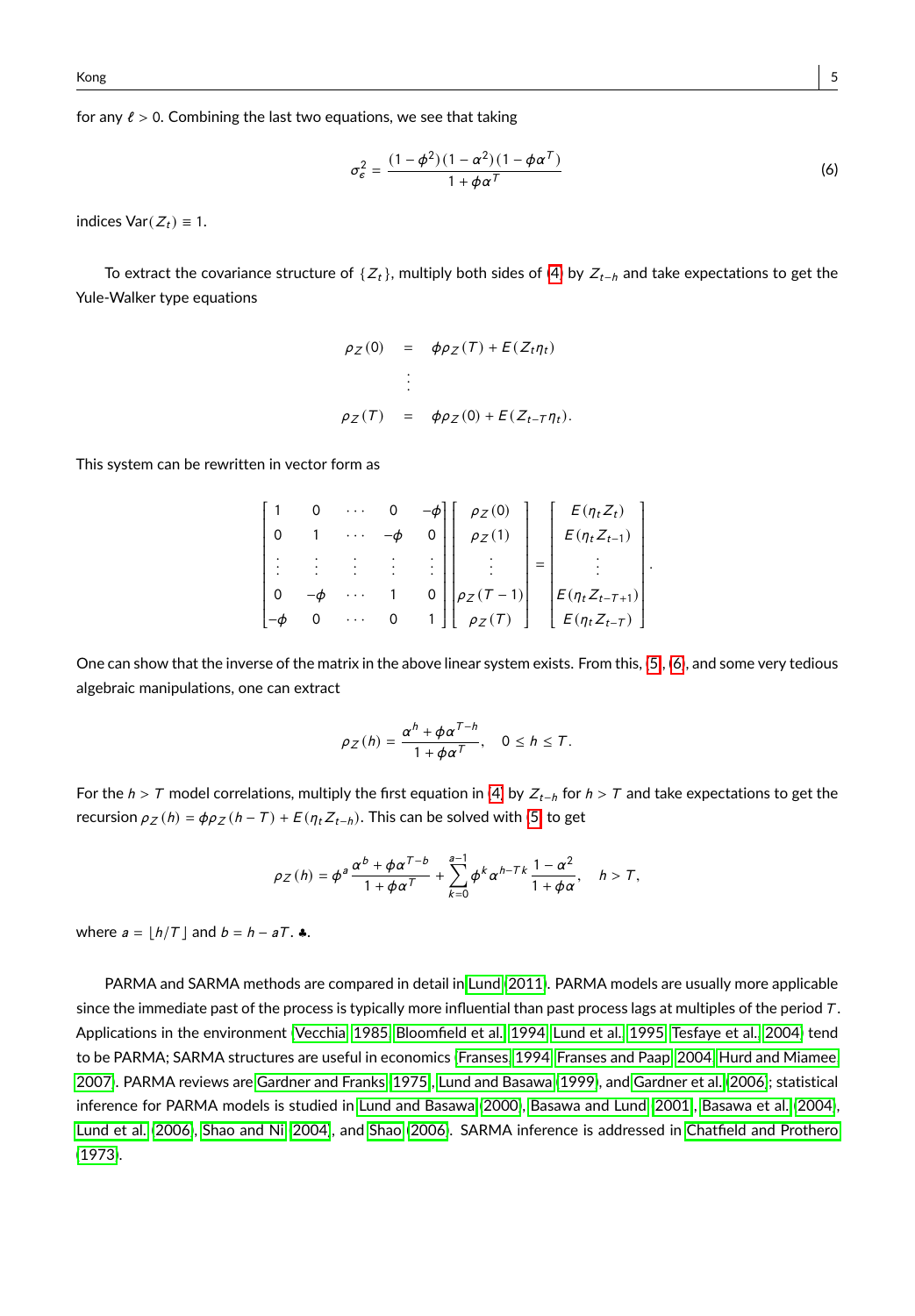for any  $\ell > 0$ . Combining the last two equations, we see that taking

<span id="page-4-0"></span>
$$
\sigma_{\epsilon}^{2} = \frac{(1 - \phi^{2})(1 - \alpha^{2})(1 - \phi\alpha^{T})}{1 + \phi\alpha^{T}}
$$
\n(6)

indices  $Var(Z_t) \equiv 1$ .

To extract the covariance structure of { $Z_t$ }, multiply both sides of [\(4\)](#page-3-1) by  $Z_{t-h}$  and take expectations to get the Yule-Walker type equations

$$
\rho_Z(0) = \phi \rho_Z(T) + E(Z_t \eta_t)
$$
  
\n
$$
\vdots
$$
  
\n
$$
\rho_Z(T) = \phi \rho_Z(0) + E(Z_{t-T} \eta_t).
$$

This system can be rewritten in vector form as

|  |  |   | $-\phi$   $\rho_Z(0)$       | $E(\eta_t Z_t)$       |  |
|--|--|---|-----------------------------|-----------------------|--|
|  |  |   | $\left \right $ $\rho_Z(1)$ | $E(\eta_t Z_{t-1})$   |  |
|  |  |   |                             |                       |  |
|  |  |   | $p_Z(T-1)$                  | $E(\eta_t Z_{t-T+1})$ |  |
|  |  | 0 | $\left  \rho_Z(T) \right $  | $E(\eta_t Z_{t-T})$   |  |

One can show that the inverse of the matrix in the above linear system exists. From this, [\(5\)](#page-3-2), [\(6\)](#page-4-0), and some very tedious algebraic manipulations, one can extract

$$
\rho_Z(h) = \frac{\alpha^h + \phi \alpha^{T-h}}{1 + \phi \alpha^T}, \quad 0 \le h \le T.
$$

For the  $h > T$  model correlations, multiply the first equation in [\(4\)](#page-3-1) by  $Z_{t-h}$  for  $h > T$  and take expectations to get the recursion  $\rho_Z(h) = \phi \rho_Z(h - T) + E(\eta_t Z_{t-h})$ . This can be solved with [\(5\)](#page-3-2) to get

$$
\rho_Z(h) = \phi^a \frac{\alpha^b + \phi \alpha^{T-b}}{1 + \phi \alpha^T} + \sum_{k=0}^{a-1} \phi^k \alpha^{h-Tk} \frac{1 - \alpha^2}{1 + \phi \alpha}, \quad h > T,
$$

where  $a = \lfloor h/T \rfloor$  and  $b = h - aT$ .  $\clubsuit$ .

PARMA and SARMA methods are compared in detail in [Lund \(2011\)](#page-27-10). PARMA models are usually more applicable since the immediate past of the process is typically more influential than past process lags at multiples of the period  $T$ . Applications in the environment [\(Vecchia, 1985,](#page-28-5) [Bloomfield et al., 1994,](#page-26-4) [Lund et al., 1995,](#page-27-11) [Tesfaye et al., 2004\)](#page-28-6) tend to be PARMA; SARMA structures are useful in economics [\(Franses, 1994,](#page-26-5) [Franses and Paap, 2004,](#page-26-6) [Hurd and Miamee,](#page-27-12) [2007\)](#page-27-12). PARMA reviews are [Gardner and Franks](#page-26-7) [\(1975\)](#page-26-7), [Lund and Basawa](#page-27-9) [\(1999\)](#page-27-9), and [Gardner et al.](#page-26-8) [\(2006\)](#page-26-8); statistical inference for PARMA models is studied in [Lund and Basawa \(2000\)](#page-27-13), [Basawa and Lund](#page-25-4) [\(2001\)](#page-25-4), [Basawa et al.](#page-25-5) [\(2004\)](#page-25-5), [Lund et al. \(2006\)](#page-27-14), [Shao and Ni](#page-28-7) [\(2004\)](#page-28-7), and [Shao](#page-28-8) [\(2006\)](#page-28-8). SARMA inference is addressed in [Chatfield and Prothero](#page-26-9) [\(1973\)](#page-26-9).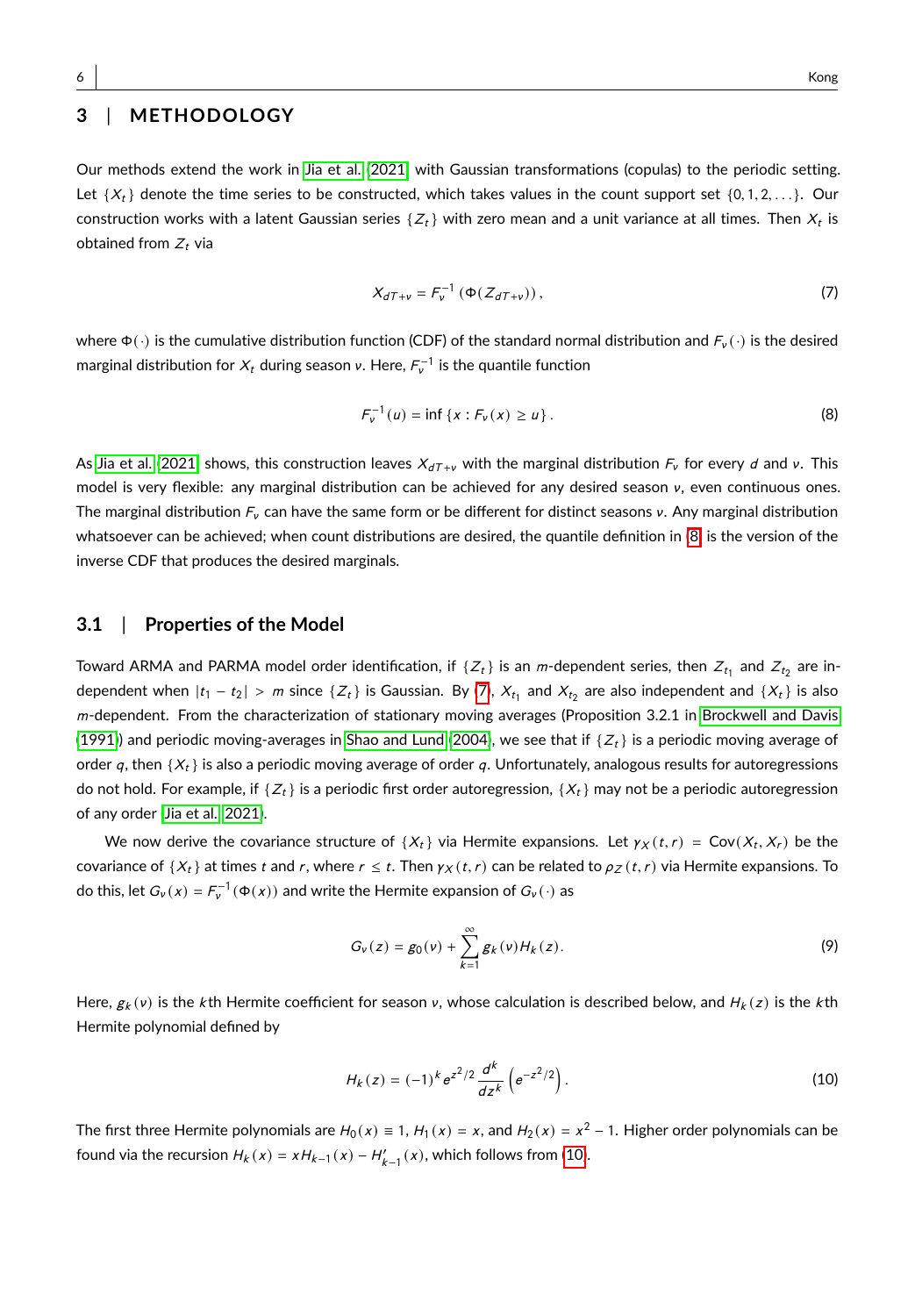# **3** | **METHODOLOGY**

<span id="page-5-1"></span>Our methods extend the work in [Jia et al. \(2021\)](#page-27-0) with Gaussian transformations (copulas) to the periodic setting. Let  $\{X_t\}$  denote the time series to be constructed, which takes values in the count support set  $\{0, 1, 2, \ldots\}$ . Our construction works with a latent Gaussian series  $\{{Z}_t\}$  with zero mean and a unit variance at all times. Then  $X_t$  is obtained from  $Z_t$  via

<span id="page-5-0"></span>
$$
X_{dT+v} = F_v^{-1} \left( \Phi(Z_{dT+v}) \right), \tag{7}
$$

where  $\Phi(\cdot)$  is the cumulative distribution function (CDF) of the standard normal distribution and  $F_v(\cdot)$  is the desired marginal distribution for  $X_t$  during season v. Here,  $\mathit{F}_{v}^{-1}$  is the quantile function

$$
F_{\nu}^{-1}(u) = \inf \{ x : F_{\nu}(x) \ge u \}.
$$
 (8)

As [Jia et al. \(2021\)](#page-27-0) shows, this construction leaves  $X_{dT+\nu}$  with the marginal distribution  $F_\nu$  for every d and v. This model is very flexible: any marginal distribution can be achieved for any desired season ν, even continuous ones. The marginal distribution  $F_v$  can have the same form or be different for distinct seasons  $v$ . Any marginal distribution whatsoever can be achieved; when count distributions are desired, the quantile definition in [\(8\)](#page-5-0) is the version of the inverse CDF that produces the desired marginals.

## **3.1** | **Properties of the Model**

Toward ARMA and PARMA model order identification, if  $\{Z_t\}$  is an  $m$ -dependent series, then  $Z_{t_1}$  and  $Z_{t_2}$  are independent when  $|t_1 - t_2| > m$  since  $\{Z_t\}$  is Gaussian. By [\(7\)](#page-5-1),  $X_{t_1}$  and  $X_{t_2}$  are also independent and  $\{X_t\}$  is also m-dependent. From the characterization of stationary moving averages (Proposition 3.2.1 in [Brockwell and Davis](#page-26-10) [\(1991\)](#page-26-10)) and periodic moving-averages in [Shao and Lund](#page-28-9) [\(2004\)](#page-28-9), we see that if  $\{Z_t\}$  is a periodic moving average of order q, then  $\{X_t\}$  is also a periodic moving average of order q. Unfortunately, analogous results for autoregressions do not hold. For example, if  $\{Z_t\}$  is a periodic first order autoregression,  $\{X_t\}$  may not be a periodic autoregression of any order [\(Jia et al., 2021\)](#page-27-0).

We now derive the covariance structure of  $\{X_t\}$  via Hermite expansions. Let  $\gamma_X(t,r) = \text{Cov}(X_t, X_r)$  be the covariance of {X<sub>t</sub>} at times t and r, where  $r \le t$ . Then  $\gamma_X(t, r)$  can be related to  $\rho_Z(t, r)$  via Hermite expansions. To do this, let  $G_v(x) = F_v^{-1}(\Phi(x))$  and write the Hermite expansion of  $G_v(\cdot)$  as

$$
G_{\nu}(z) = g_0(\nu) + \sum_{k=1}^{\infty} g_k(\nu) H_k(z).
$$
 (9)

Here,  $g_k(v)$  is the kth Hermite coefficient for season v, whose calculation is described below, and  $H_k(z)$  is the kth Hermite polynomial defined by

<span id="page-5-2"></span>
$$
H_k(z) = (-1)^k e^{z^2/2} \frac{d^k}{dz^k} \left( e^{-z^2/2} \right).
$$
 (10)

The first three Hermite polynomials are  $H_0(x) \equiv 1$ ,  $H_1(x) = x$ , and  $H_2(x) = x^2 - 1$ . Higher order polynomials can be found via the recursion  $H_k(x) = xH_{k-1}(x) - H'_{k-1}(x)$ , which follows from [\(10\)](#page-5-2).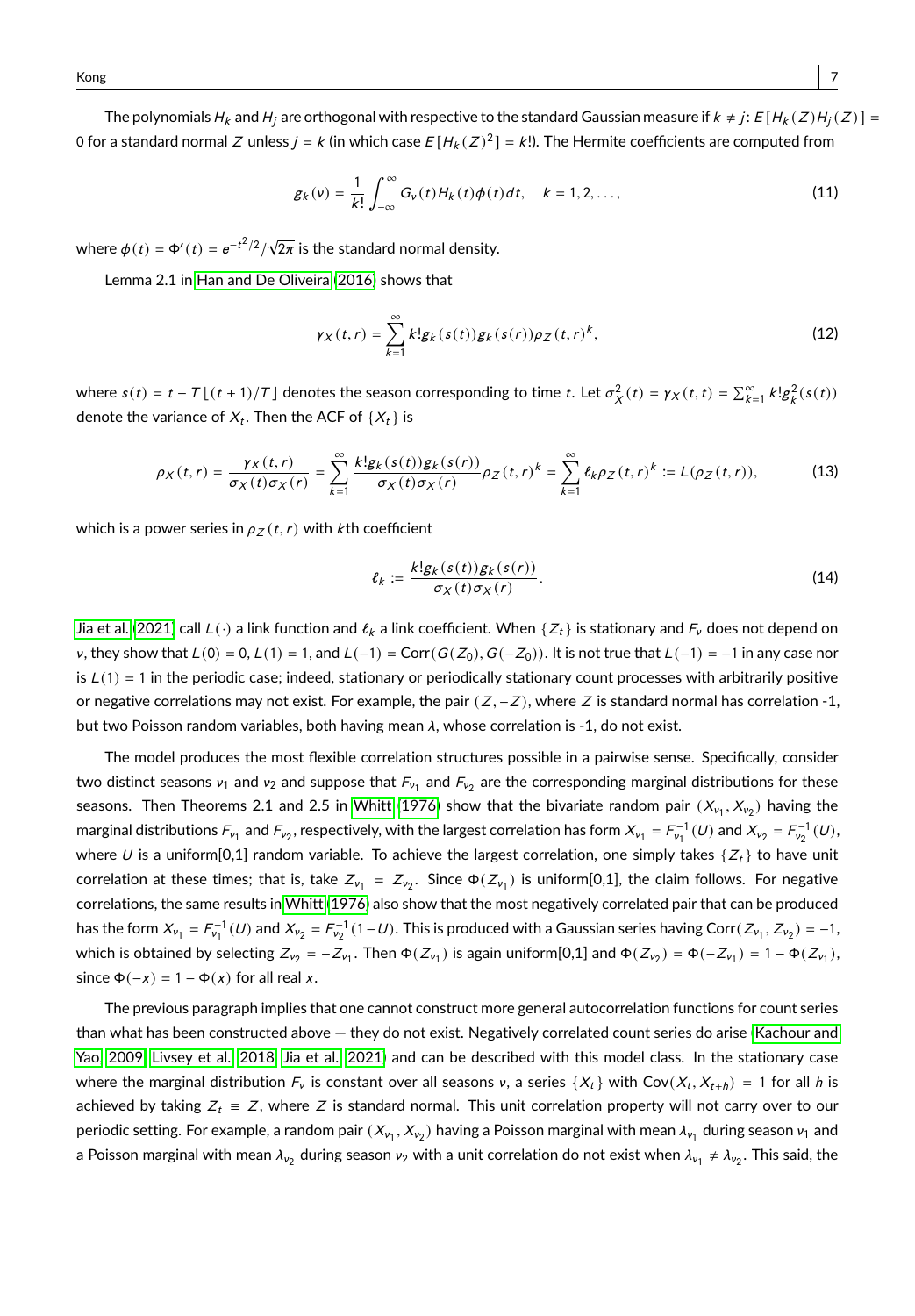The polynomials  $H_k$  and  $H_j$  are orthogonal with respective to the standard Gaussian measure if  $k \neq j$ :  $E[H_k(Z)H_j(Z)] =$ 0 for a standard normal  $Z$  unless  $j$  =  $k$  (in which case  $E$  [H $_k$  ( $Z)^2$  ] =  $k!$ ). The Hermite coefficients are computed from

<span id="page-6-1"></span>
$$
g_k(v) = \frac{1}{k!} \int_{-\infty}^{\infty} G_v(t) H_k(t) \phi(t) dt, \quad k = 1, 2, \dots,
$$
 (11)

where  $\phi(t) = \Phi'(t) = e^{-t^2/2}/\sqrt{2\pi}$  is the standard normal density.

Lemma 2.1 in [Han and De Oliveira](#page-26-11) [\(2016\)](#page-26-11) shows that

<span id="page-6-3"></span><span id="page-6-0"></span>
$$
\gamma_X(t,r) = \sum_{k=1}^{\infty} k! g_k(s(t)) g_k(s(r)) \rho_Z(t,r)^k,
$$
\n(12)

where  $s(t) = t - T \lfloor (t + 1)/T \rfloor$  denotes the season corresponding to time t. Let  $\sigma_X^2(t) = \gamma_X(t, t) = \sum_{k=1}^{\infty} k! g_k^2(s(t))$ denote the variance of  $X_t.$  Then the ACF of  $\{X_t\}$  is

$$
\rho_X(t,r) = \frac{\gamma_X(t,r)}{\sigma_X(t)\sigma_X(r)} = \sum_{k=1}^{\infty} \frac{k! g_k(s(t)) g_k(s(r))}{\sigma_X(t)\sigma_X(r)} \rho_Z(t,r)^k = \sum_{k=1}^{\infty} \ell_k \rho_Z(t,r)^k := L(\rho_Z(t,r)),\tag{13}
$$

which is a power series in  $\rho_z(t, r)$  with k th coefficient

<span id="page-6-2"></span>
$$
\ell_k := \frac{k! g_k(s(t)) g_k(s(r))}{\sigma_X(t) \sigma_X(r)}.
$$
\n(14)

[Jia et al. \(2021\)](#page-27-0) call  $L(\cdot)$  a link function and  $\ell_k$  a link coefficient. When  $\{Z_t\}$  is stationary and  $F_v$  does not depend on v, they show that  $L(0) = 0$ ,  $L(1) = 1$ , and  $L(-1) = \text{Corr}(G(Z_0), G(-Z_0))$ . It is not true that  $L(-1) = -1$  in any case nor is  $L(1) = 1$  in the periodic case; indeed, stationary or periodically stationary count processes with arbitrarily positive or negative correlations may not exist. For example, the pair ( $Z, -Z$ ), where Z is standard normal has correlation -1, but two Poisson random variables, both having mean  $\lambda$ , whose correlation is -1, do not exist.

The model produces the most flexible correlation structures possible in a pairwise sense. Specifically, consider two distinct seasons  $v_1$  and  $v_2$  and suppose that  $F_{v_1}$  and  $F_{v_2}$  are the corresponding marginal distributions for these seasons. Then Theorems 2.1 and 2.5 in [Whitt](#page-28-10) [\(1976\)](#page-28-10) show that the bivariate random pair  $(X_{\nu_1}, X_{\nu_2})$  having the marginal distributions  $F_{\nu_1}$  and  $F_{\nu_2}$ , respectively, with the largest correlation has form  $X_{\nu_1} = F_{\nu_1}^{-1}(U)$  and  $X_{\nu_2} = F_{\nu_2}^{-1}(U)$ , where U is a uniform[0,1] random variable. To achieve the largest correlation, one simply takes  $\{Z_t\}$  to have unit correlation at these times; that is, take  $Z_{\nu_1} = Z_{\nu_2}$ . Since  $\Phi(Z_{\nu_1})$  is uniform[0,1], the claim follows. For negative correlations, the same results in [Whitt \(1976\)](#page-28-10) also show that the most negatively correlated pair that can be produced has the form  $X_{\nu_1} = F_{\nu_1}^{-1}(U)$  and  $X_{\nu_2} = F_{\nu_2}^{-1}(1-U)$ . This is produced with a Gaussian series having Corr $(Z_{\nu_1}, Z_{\nu_2}) = -1$ , which is obtained by selecting  $Z_{\nu_2}=-Z_{\nu_1}.$  Then  $\Phi(Z_{\nu_1})$  is again uniform[0,1] and  $\Phi(Z_{\nu_2})=\Phi(-Z_{\nu_1})=1-\Phi(Z_{\nu_1}),$ since  $\Phi(-x) = 1 - \Phi(x)$  for all real x.

The previous paragraph implies that one cannot construct more general autocorrelation functions for count series than what has been constructed above — they do not exist. Negatively correlated count series do arise [\(Kachour and](#page-27-3) [Yao, 2009,](#page-27-3) [Livsey et al., 2018,](#page-27-4) [Jia et al., 2021\)](#page-27-0) and can be described with this model class. In the stationary case where the marginal distribution  $F_v$  is constant over all seasons v, a series  $\{X_t\}$  with  $\text{Cov}(X_t, X_{t+h}) = 1$  for all h is achieved by taking  $Z_t \equiv Z$ , where Z is standard normal. This unit correlation property will not carry over to our periodic setting. For example, a random pair  $(X_{\nu_1}, X_{\nu_2})$  having a Poisson marginal with mean  $\lambda_{\nu_1}$  during season  $\nu_1$  and a Poisson marginal with mean  $\lambda_{v_2}$  during season  $v_2$  with a unit correlation do not exist when  $\lambda_{v_1}\neq\lambda_{v_2}.$  This said, the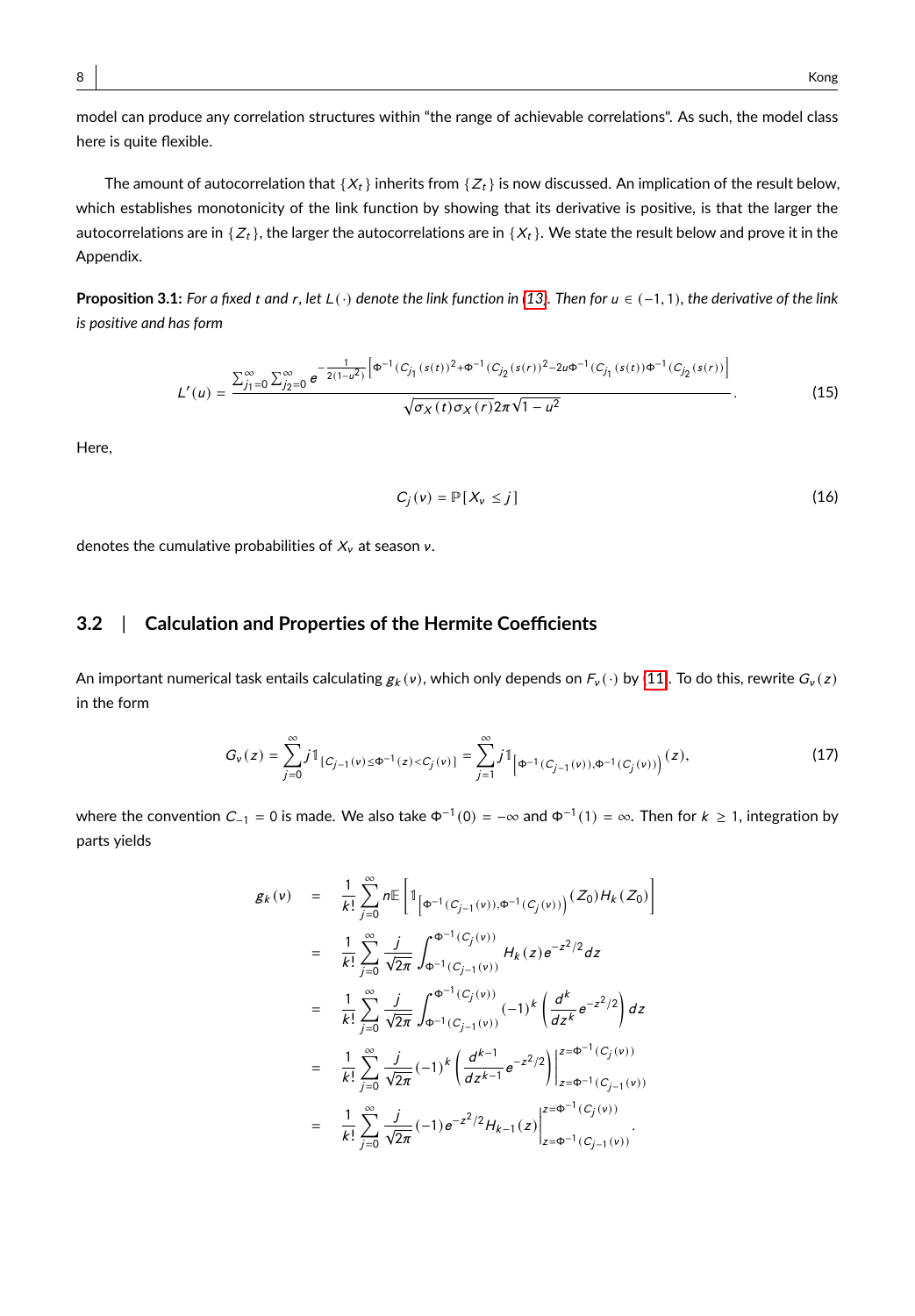The amount of autocorrelation that  $\{X_t\}$  inherits from  $\{Z_t\}$  is now discussed. An implication of the result below, which establishes monotonicity of the link function by showing that its derivative is positive, is that the larger the autocorrelations are in  $\{Z_t\}$ , the larger the autocorrelations are in  $\{X_t\}$ . We state the result below and prove it in the Appendix.

**Proposition 3.1:** *For a fixed* <sup>t</sup> *and* <sup>r</sup>*, let* <sup>L</sup>(·) *denote the link function in [\(13\)](#page-6-0). Then for* <sup>u</sup> ∈ (−1, <sup>1</sup>)*, the derivative of the link is positive and has form*

<span id="page-7-1"></span>
$$
L'(u) = \frac{\sum_{j_1=0}^{\infty} \sum_{j_2=0}^{\infty} e^{-\frac{1}{2(1-u^2)} \left[\Phi^{-1}(C_{j_1}(s(t)))^2 + \Phi^{-1}(C_{j_2}(s(r)))^2 - 2u\Phi^{-1}(C_{j_1}(s(t))\Phi^{-1}(C_{j_2}(s(r)))\right]}}{\sqrt{\sigma_X(t)\sigma_X(r)} 2\pi\sqrt{1-u^2}}.
$$
 (15)

<span id="page-7-0"></span>Here,

$$
C_j(v) = \mathbb{P}[X_v \leq j] \tag{16}
$$

denotes the cumulative probabilities of  $X_{\nu}$  at season  $\nu$ .

## **3.2** | **Calculation and Properties of the Hermite Coefficients**

An important numerical task entails calculating  $g_k(v)$ , which only depends on  $F_v(\cdot)$  by [\(11\)](#page-6-1). To do this, rewrite  $G_v(z)$ in the form

$$
G_{v}(z) = \sum_{j=0}^{\infty} j \mathbb{1}_{[C_{j-1}(v) \leq \Phi^{-1}(z) < C_{j}(v)]} = \sum_{j=1}^{\infty} j \mathbb{1}_{\left[\Phi^{-1}(C_{j-1}(v)), \Phi^{-1}(C_{j}(v))\right)}(z),\tag{17}
$$

where the convention  $C_{-1}$  = 0 is made. We also take  $\Phi^{-1}(0) = -\infty$  and  $\Phi^{-1}(1) = \infty$ . Then for  $k \ge 1$ , integration by parts yields

$$
g_{k}(v) = \frac{1}{k!} \sum_{j=0}^{\infty} n \mathbb{E} \left[ \mathbb{1}_{\left[\Phi^{-1}(C_{j-1}(v)), \Phi^{-1}(C_{j}(v))\right]} (Z_{0}) H_{k}(Z_{0}) \right]
$$
  
\n
$$
= \frac{1}{k!} \sum_{j=0}^{\infty} \frac{j}{\sqrt{2\pi}} \int_{\Phi^{-1}(C_{j-1}(v))}^{\Phi^{-1}(C_{j}(v))} H_{k}(z) e^{-z^{2}/2} dz
$$
  
\n
$$
= \frac{1}{k!} \sum_{j=0}^{\infty} \frac{j}{\sqrt{2\pi}} \int_{\Phi^{-1}(C_{j-1}(v))}^{\Phi^{-1}(C_{j}(v))} (-1)^{k} \left(\frac{d^{k}}{dz^{k}} e^{-z^{2}/2}\right) dz
$$
  
\n
$$
= \frac{1}{k!} \sum_{j=0}^{\infty} \frac{j}{\sqrt{2\pi}} (-1)^{k} \left(\frac{d^{k-1}}{dz^{k-1}} e^{-z^{2}/2}\right) \Big|_{z=\Phi^{-1}(C_{j-1}(v))}^{z=\Phi^{-1}(C_{j}(v))}
$$
  
\n
$$
= \frac{1}{k!} \sum_{j=0}^{\infty} \frac{j}{\sqrt{2\pi}} (-1) e^{-z^{2}/2} H_{k-1}(z) \Big|_{z=\Phi^{-1}(C_{j-1}(v))}^{z=\Phi^{-1}(C_{j-1}(v))}.
$$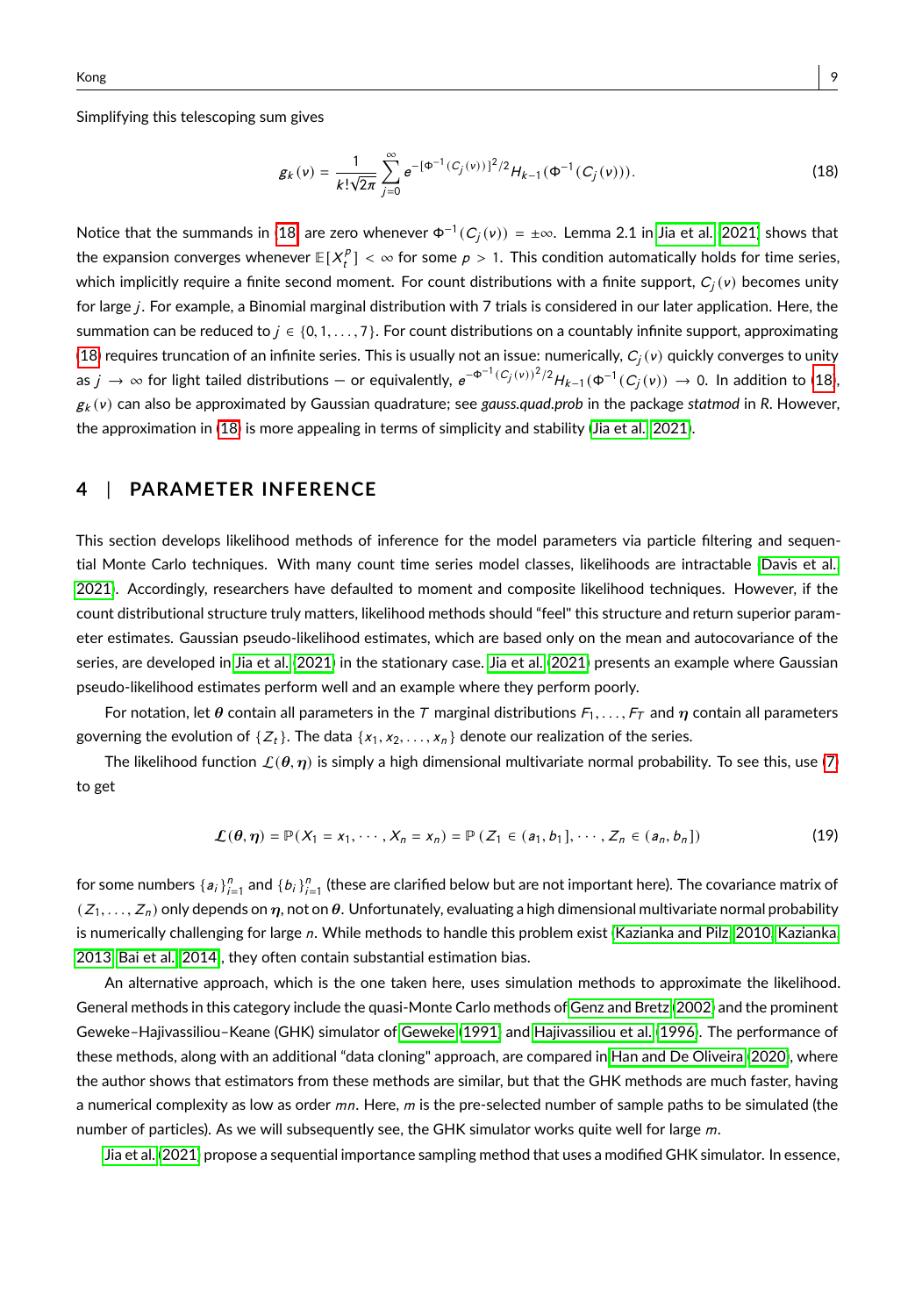Simplifying this telescoping sum gives

<span id="page-8-0"></span>
$$
g_k(v) = \frac{1}{k! \sqrt{2\pi}} \sum_{j=0}^{\infty} e^{-\left[\Phi^{-1}(C_j(v))\right]^2/2} H_{k-1}(\Phi^{-1}(C_j(v))).
$$
\n(18)

Notice that the summands in [\(18\)](#page-8-0) are zero whenever  $\Phi^{-1}(C_j(v))= \pm \infty$ . Lemma 2.1 in [Jia et al. \(2021\)](#page-27-0) shows that the expansion converges whenever  $\mathbb{E}[X_t^p] < \infty$  for some  $p > 1$ . This condition automatically holds for time series, which implicitly require a finite second moment. For count distributions with a finite support,  $C_j({\mathsf v})$  becomes unity for large *i*. For example, a Binomial marginal distribution with 7 trials is considered in our later application. Here, the summation can be reduced to  $j \in \{0, 1, ..., 7\}$ . For count distributions on a countably infinite support, approximating [\(18\)](#page-8-0) requires truncation of an infinite series. This is usually not an issue: numerically,  $C_j$  (v) quickly converges to unity as  $j\to\infty$  for light tailed distributions — or equivalently,  $e^{-\Phi^{-1}(C_j(v))^2/2}H_{k-1}(\Phi^{-1}(C_j(v))\to 0.$  In addition to [\(18\)](#page-8-0), g<sup>k</sup> (ν) can also be approximated by Gaussian quadrature; see *gauss.quad.prob* in the package *statmod* in *R*. However, the approximation in [\(18\)](#page-8-0) is more appealing in terms of simplicity and stability [\(Jia et al., 2021\)](#page-27-0).

## **4** | **PARAMETER INFERENCE**

This section develops likelihood methods of inference for the model parameters via particle filtering and sequential Monte Carlo techniques. With many count time series model classes, likelihoods are intractable [\(Davis et al.,](#page-26-2) [2021\)](#page-26-2). Accordingly, researchers have defaulted to moment and composite likelihood techniques. However, if the count distributional structure truly matters, likelihood methods should "feel" this structure and return superior parameter estimates. Gaussian pseudo-likelihood estimates, which are based only on the mean and autocovariance of the series, are developed in [Jia et al. \(2021\)](#page-27-0) in the stationary case. [Jia et al.](#page-27-0) [\(2021\)](#page-27-0) presents an example where Gaussian pseudo-likelihood estimates perform well and an example where they perform poorly.

For notation, let  $\theta$  contain all parameters in the T marginal distributions  $F_1, \ldots, F_T$  and  $\eta$  contain all parameters governing the evolution of  $\{Z_t\}$ . The data  $\{x_1, x_2, \ldots, x_n\}$  denote our realization of the series.

<span id="page-8-1"></span>The likelihood function  $\mathcal{L}(\theta, \eta)$  is simply a high dimensional multivariate normal probability. To see this, use [\(7\)](#page-5-1) to get

$$
\mathcal{L}(\theta, \eta) = \mathbb{P}(X_1 = x_1, \cdots, X_n = x_n) = \mathbb{P}(Z_1 \in (a_1, b_1], \cdots, Z_n \in (a_n, b_n])
$$
\n(19)

for some numbers  $\{a_i\}_{i=1}^n$  and  $\{b_i\}_{i=1}^n$  (these are clarified below but are not important here). The covariance matrix of  $(Z_1, \ldots, Z_n)$  only depends on  $\eta$ , not on  $\theta$ . Unfortunately, evaluating a high dimensional multivariate normal probability is numerically challenging for large n. While methods to handle this problem exist [\(Kazianka and Pilz, 2010,](#page-27-15) [Kazianka,](#page-27-16) [2013,](#page-27-16) [Bai et al., 2014\)](#page-25-6), they often contain substantial estimation bias.

An alternative approach, which is the one taken here, uses simulation methods to approximate the likelihood. General methods in this category include the quasi-Monte Carlo methods of [Genz and Bretz \(2002\)](#page-26-12) and the prominent Geweke–Hajivassiliou–Keane (GHK) simulator of [Geweke \(1991\)](#page-26-13) and [Hajivassiliou et al.](#page-26-14) [\(1996\)](#page-26-14). The performance of these methods, along with an additional "data cloning" approach, are compared in [Han and De Oliveira](#page-26-15) [\(2020\)](#page-26-15), where the author shows that estimators from these methods are similar, but that the GHK methods are much faster, having a numerical complexity as low as order  $mn$ . Here,  $m$  is the pre-selected number of sample paths to be simulated (the number of particles). As we will subsequently see, the GHK simulator works quite well for large  $m$ .

[Jia et al.](#page-27-0) [\(2021\)](#page-27-0) propose a sequential importance sampling method that uses a modified GHK simulator. In essence,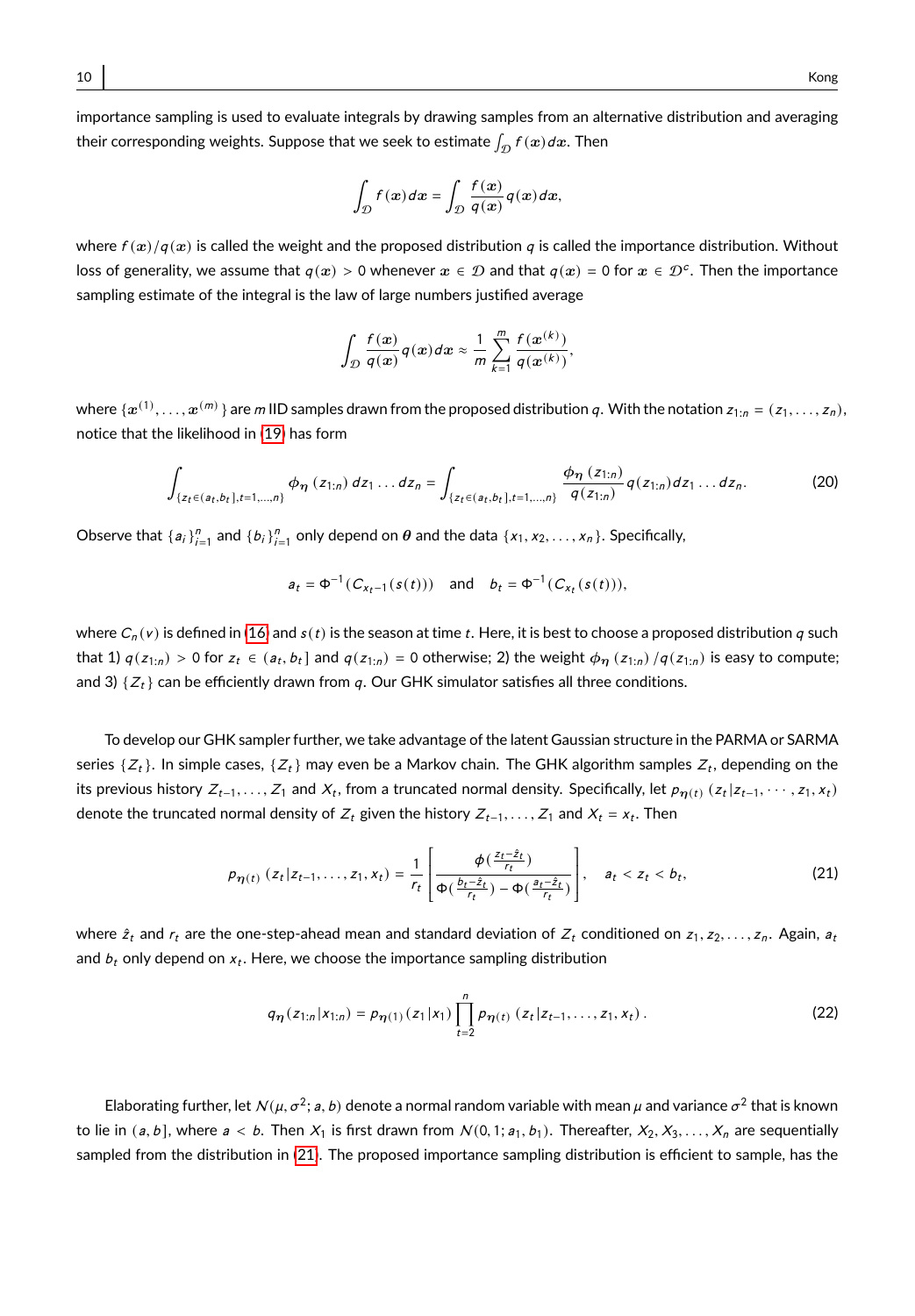importance sampling is used to evaluate integrals by drawing samples from an alternative distribution and averaging their corresponding weights. Suppose that we seek to estimate  $\int_{\mathcal{D}}f(\boldsymbol{x})d\boldsymbol{x}$ . Then

$$
\int_{\mathcal{D}} f(x) dx = \int_{\mathcal{D}} \frac{f(x)}{q(x)} q(x) dx,
$$

where  $f(x)/g(x)$  is called the weight and the proposed distribution q is called the importance distribution. Without loss of generality, we assume that  $q(x) > 0$  whenever  $x \in \mathcal{D}$  and that  $q(x) = 0$  for  $x \in \mathcal{D}^c$ . Then the importance sampling estimate of the integral is the law of large numbers justified average

$$
\int_{\mathcal{D}}\frac{f(x)}{q(x)}q(x)dx \approx \frac{1}{m}\sum_{k=1}^{m}\frac{f(x^{(k)})}{q(x^{(k)})},
$$

where  $\{x^{(1)},...,x^{(m)}\}$  are m IID samples drawn from the proposed distribution q. With the notation  $z_{1:n} = (z_1,...,z_n)$ , notice that the likelihood in [\(19\)](#page-8-1) has form

$$
\int_{\{z_t \in (a_t,b_t], t=1,\ldots,n\}} \phi_{\eta}(z_{1:n}) dz_1 \ldots dz_n = \int_{\{z_t \in (a_t,b_t], t=1,\ldots,n\}} \frac{\phi_{\eta}(z_{1:n})}{q(z_{1:n})} q(z_{1:n}) dz_1 \ldots dz_n.
$$
 (20)

Observe that  $\{a_i\}_{i=1}^n$  and  $\{b_i\}_{i=1}^n$  only depend on  $\theta$  and the data  $\{x_1, x_2, \ldots, x_n\}$ . Specifically,

<span id="page-9-0"></span>
$$
a_t = \Phi^{-1}(C_{x_t-1}(s(t)))
$$
 and  $b_t = \Phi^{-1}(C_{x_t}(s(t))),$ 

where  $C_n(v)$  is defined in [\(16\)](#page-7-0) and  $s(t)$  is the season at time t. Here, it is best to choose a proposed distribution q such that 1)  $q(z_{1:n}) > 0$  for  $z_t \in (a_t, b_t]$  and  $q(z_{1:n}) = 0$  otherwise; 2) the weight  $\phi_{\eta}(z_{1:n})/q(z_{1:n})$  is easy to compute; and 3)  $\{Z_t\}$  can be efficiently drawn from q. Our GHK simulator satisfies all three conditions.

To develop our GHK sampler further, we take advantage of the latent Gaussian structure in the PARMA or SARMA series  $\{Z_t\}.$  In simple cases,  $\{Z_t\}$  may even be a Markov chain. The GHK algorithm samples  $Z_t,$  depending on the its previous history  $Z_{t-1}, \ldots, Z_1$  and  $X_t$ , from a truncated normal density. Specifically, let  $p_{\eta(t)}(z_t | z_{t-1}, \cdots, z_1, x_t)$ denote the truncated normal density of  $Z_t$  given the history  $Z_{t-1}, \ldots, Z_1$  and  $X_t = x_t$ . Then

$$
p_{\eta(t)}(z_t|z_{t-1},...,z_1,x_t) = \frac{1}{r_t} \left[ \frac{\phi(\frac{z_t - \hat{z}_t}{r_t})}{\phi(\frac{b_t - \hat{z}_t}{r_t}) - \phi(\frac{a_t - \hat{z}_t}{r_t})} \right], \quad a_t < z_t < b_t,
$$
 (21)

where  $\hat{z}_t$  and  $r_t$  are the one-step-ahead mean and standard deviation of  $Z_t$  conditioned on  $z_1, z_2, \ldots, z_n$ . Again,  $a_t$ and  $\mathit{b}_{t}$  only depend on  $\mathit{x}_{t}.$  Here, we choose the importance sampling distribution

$$
q_{\eta}(z_{1:n}|x_{1:n}) = p_{\eta(1)}(z_1|x_1) \prod_{t=2}^{n} p_{\eta(t)}(z_t|z_{t-1},...,z_1,x_t).
$$
 (22)

Elaborating further, let  $N(\mu, \sigma^2; a, b)$  denote a normal random variable with mean  $\mu$  and variance  $\sigma^2$  that is known to lie in  $(a, b]$ , where  $a < b$ . Then  $X_1$  is first drawn from  $N(0, 1; a_1, b_1)$ . Thereafter,  $X_2, X_3, \ldots, X_n$  are sequentially sampled from the distribution in [\(21\)](#page-9-0). The proposed importance sampling distribution is efficient to sample, has the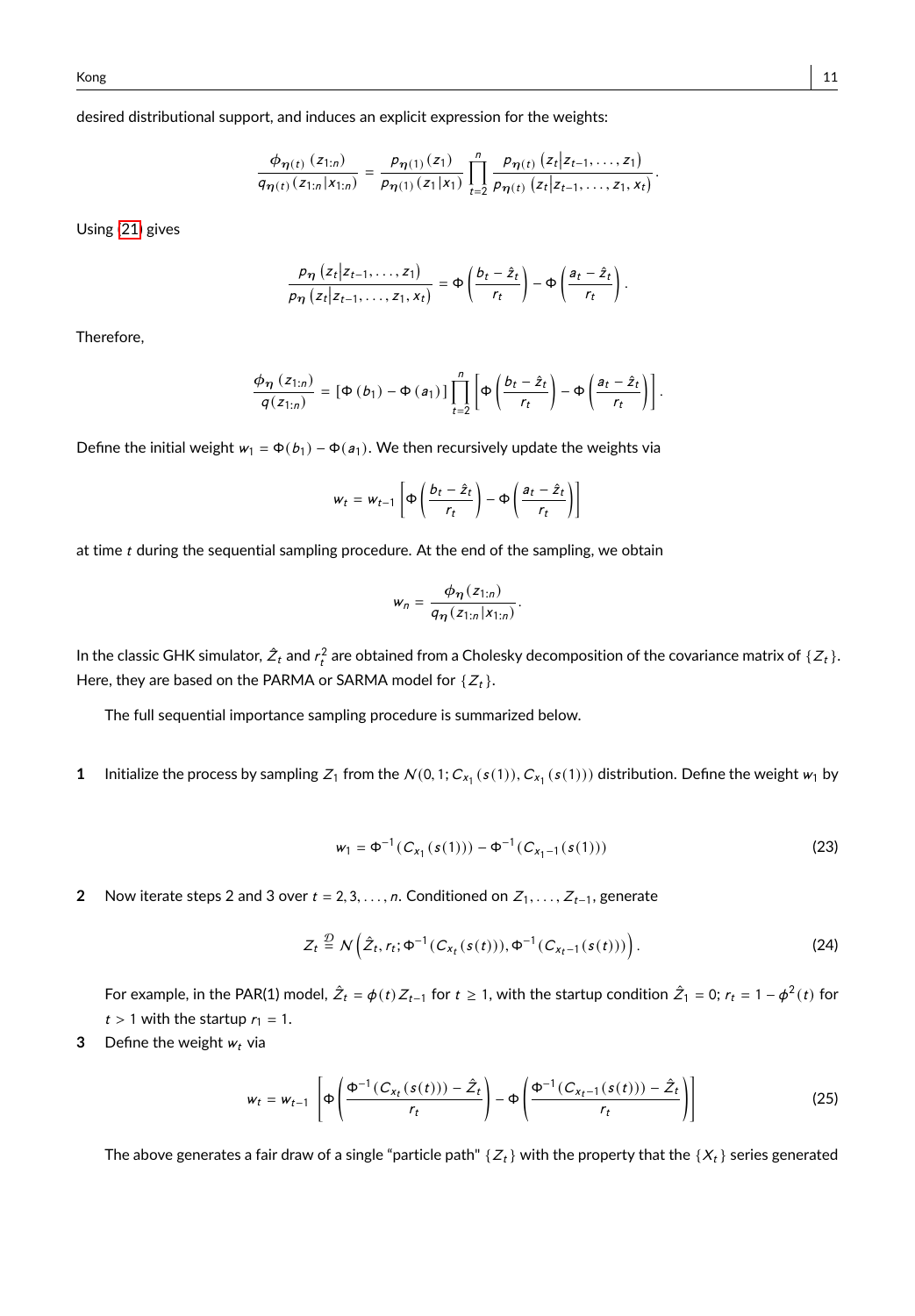desired distributional support, and induces an explicit expression for the weights:

$$
\frac{\phi_{\eta(t)}(z_{1:n})}{q_{\eta(t)}(z_{1:n}|x_{1:n})} = \frac{\rho_{\eta(1)}(z_1)}{\rho_{\eta(1)}(z_1|x_1)} \prod_{t=2}^n \frac{\rho_{\eta(t)}(z_t|z_{t-1},...,z_1)}{\rho_{\eta(t)}(z_t|z_{t-1},...,z_1,x_t)}.
$$

Using [\(21\)](#page-9-0) gives

$$
\frac{p_{\eta}\left(z_{t}|z_{t-1},\ldots,z_{1}\right)}{p_{\eta}\left(z_{t}|z_{t-1},\ldots,z_{1},x_{t}\right)}=\Phi\left(\frac{b_{t}-\hat{z}_{t}}{r_{t}}\right)-\Phi\left(\frac{a_{t}-\hat{z}_{t}}{r_{t}}\right)
$$

Therefore,

$$
\frac{\phi_{\eta}(z_{1:n})}{q(z_{1:n})} = \left[\Phi\left(b_{1}\right) - \Phi\left(a_{1}\right)\right] \prod_{t=2}^{n} \left[\Phi\left(\frac{b_{t} - \hat{z}_{t}}{r_{t}}\right) - \Phi\left(\frac{a_{t} - \hat{z}_{t}}{r_{t}}\right)\right].
$$

Define the initial weight  $w_1 = \Phi(b_1) - \Phi(a_1)$ . We then recursively update the weights via

$$
w_t = w_{t-1} \left[ \Phi \left( \frac{b_t - \hat{z}_t}{r_t} \right) - \Phi \left( \frac{a_t - \hat{z}_t}{r_t} \right) \right]
$$

at time  $t$  during the sequential sampling procedure. At the end of the sampling, we obtain

$$
w_n=\frac{\phi_{\eta}(z_{1:n})}{q_{\eta}(z_{1:n}|x_{1:n})}.
$$

In the classic GHK simulator,  $\hat{Z}_t$  and  $r_t^2$  are obtained from a Cholesky decomposition of the covariance matrix of  $\{Z_t\}$ . Here, they are based on the PARMA or SARMA model for  $\{Z_t\}$ .

The full sequential importance sampling procedure is summarized below.

**1** Initialize the process by sampling  $Z_1$  from the  $N(0, 1; C_{x_1}(s(1)), C_{x_1}(s(1)))$  distribution. Define the weight  $w_1$  by

$$
w_1 = \Phi^{-1}(C_{x_1}(s(1))) - \Phi^{-1}(C_{x_1-1}(s(1)))
$$
\n(23)

**2** Now iterate steps 2 and 3 over  $t = 2, 3, ..., n$ . Conditioned on  $Z_1, ..., Z_{t-1}$ , generate

$$
Z_t \stackrel{\mathcal{D}}{=} N\Big(\hat{Z}_t, r_t; \Phi^{-1}(C_{x_t}(s(t))), \Phi^{-1}(C_{x_{t-1}}(s(t)))\Big). \tag{24}
$$

For example, in the PAR(1) model,  $\hat{Z}_t = \phi(t) Z_{t-1}$  for  $t \ge 1$ , with the startup condition  $\hat{Z}_1 = 0$ ;  $r_t = 1 - \phi^2(t)$  for  $t > 1$  with the startup  $r_1 = 1$ .

**3** Define the weight  $w_t$  via

$$
w_t = w_{t-1} \left[ \Phi\left(\frac{\Phi^{-1}(C_{x_t}(s(t))) - \hat{Z}_t}{r_t} \right) - \Phi\left(\frac{\Phi^{-1}(C_{x_t-1}(s(t))) - \hat{Z}_t}{r_t} \right) \right]
$$
(25)

The above generates a fair draw of a single "particle path"  $\{Z_t\}$  with the property that the  $\{X_t\}$  series generated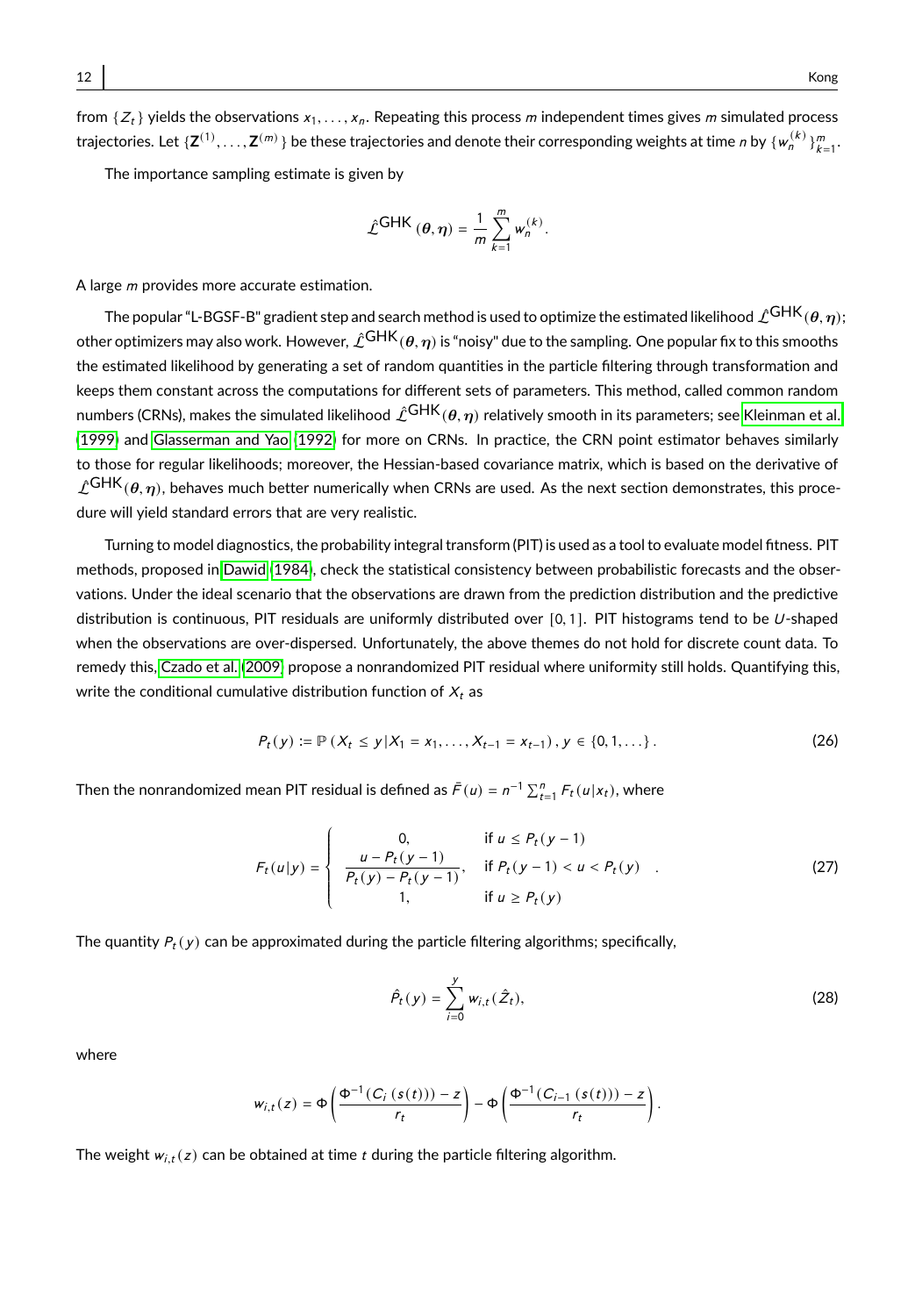from  $\{Z_t\}$  yields the observations  $x_1, \ldots, x_n$ . Repeating this process m independent times gives m simulated process trajectories. Let  $\{Z^{(1)},...,Z^{(m)}\}$  be these trajectories and denote their corresponding weights at time n by  $\{w_n^{(k)}\}_{k=1}^m$ .

The importance sampling estimate is given by

$$
\hat{\mathcal{L}}^{\text{GHK}}(\theta,\eta) = \frac{1}{m} \sum_{k=1}^{m} w_n^{(k)}
$$

A large *m* provides more accurate estimation.

The popular "L-BGSF-B" gradient step and search method is used to optimize the estimated likelihood  $\hat{\mathcal{L}}$ GHK $(\theta,\eta);$ other optimizers may also work. However,  $\hat{L}^{GHK}(\theta, \eta)$  is "noisy" due to the sampling. One popular fix to this smooths the estimated likelihood by generating a set of random quantities in the particle filtering through transformation and keeps them constant across the computations for different sets of parameters. This method, called common random numbers (CRNs), makes the simulated likelihood  $\hat{\mathcal{L}}^{GHK}(\theta,\eta)$  relatively smooth in its parameters; see [Kleinman et al.](#page-27-17) [\(1999\)](#page-27-17) and [Glasserman and Yao](#page-26-16) [\(1992\)](#page-26-16) for more on CRNs. In practice, the CRN point estimator behaves similarly to those for regular likelihoods; moreover, the Hessian-based covariance matrix, which is based on the derivative of  $\hat{L}^{GHK}(\theta,\eta)$ , behaves much better numerically when CRNs are used. As the next section demonstrates, this procedure will yield standard errors that are very realistic.

Turning to model diagnostics, the probability integral transform (PIT) is used as a tool to evaluate model fitness. PIT methods, proposed in [Dawid \(1984\)](#page-26-17), check the statistical consistency between probabilistic forecasts and the observations. Under the ideal scenario that the observations are drawn from the prediction distribution and the predictive distribution is continuous, PIT residuals are uniformly distributed over [0,1]. PIT histograms tend to be U-shaped when the observations are over-dispersed. Unfortunately, the above themes do not hold for discrete count data. To remedy this, [Czado et al.](#page-26-18) [\(2009\)](#page-26-18) propose a nonrandomized PIT residual where uniformity still holds. Quantifying this, write the conditional cumulative distribution function of  $X_t$  as

$$
P_t(y) := \mathbb{P}\left(X_t \leq y | X_1 = x_1, \ldots, X_{t-1} = x_{t-1}\right), y \in \{0, 1, \ldots\}.
$$
 (26)

Then the nonrandomized mean PIT residual is defined as  $\bar{F}(u) = n^{-1} \sum_{t=1}^{n} F_t(u|x_t)$ , where

$$
F_t(u|y) = \begin{cases} 0, & \text{if } u \le P_t(y-1) \\ \frac{u - P_t(y-1)}{P_t(y) - P_t(y-1)}, & \text{if } P_t(y-1) < u < P_t(y) \\ 1, & \text{if } u \ge P_t(y) \end{cases}
$$
 (27)

The quantity  $P_t(y)$  can be approximated during the particle filtering algorithms; specifically,

$$
\hat{P}_t(y) = \sum_{i=0}^{y} w_{i,t}(\hat{Z}_t),
$$
\n(28)

where

$$
w_{i,t}(z) = \Phi\left(\frac{\Phi^{-1}(C_i(s(t)))-z}{r_t}\right) - \Phi\left(\frac{\Phi^{-1}(C_{i-1}(s(t)))-z}{r_t}\right)
$$

The weight  $w_{i,t}(z)$  can be obtained at time  $t$  during the particle filtering algorithm.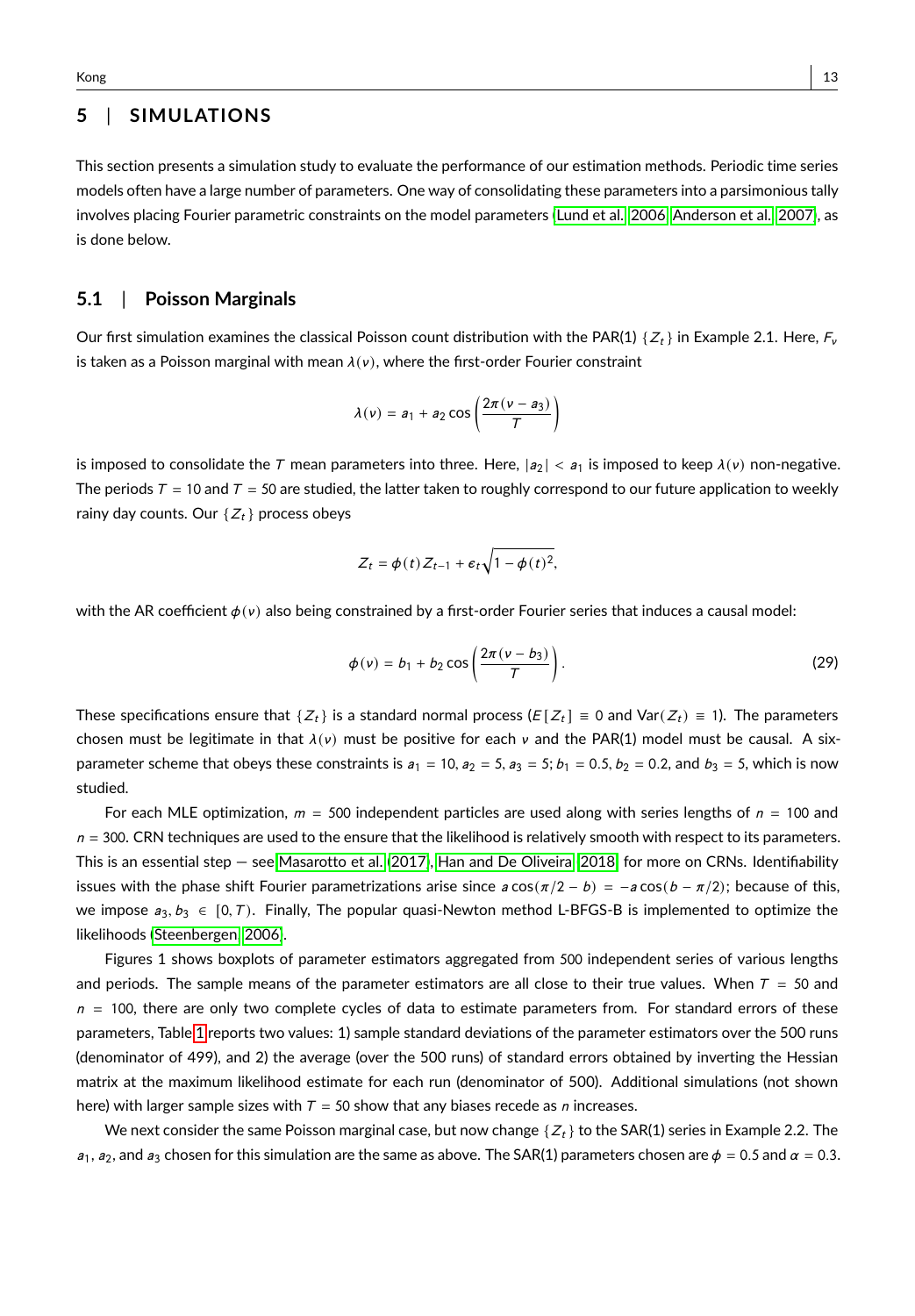## **5** | **SIMULATIONS**

This section presents a simulation study to evaluate the performance of our estimation methods. Periodic time series models often have a large number of parameters. One way of consolidating these parameters into a parsimonious tally involves placing Fourier parametric constraints on the model parameters [\(Lund et al., 2006,](#page-27-14) [Anderson et al., 2007\)](#page-25-7), as is done below.

### **5.1** | **Poisson Marginals**

Our first simulation examines the classical Poisson count distribution with the PAR(1)  $\{Z_t\}$  in Example 2.1. Here,  $F_v$ is taken as a Poisson marginal with mean  $\lambda(v)$ , where the first-order Fourier constraint

$$
\lambda(v) = a_1 + a_2 \cos\left(\frac{2\pi(v - a_3)}{\tau}\right)
$$

is imposed to consolidate the T mean parameters into three. Here,  $|a_2| < a_1$  is imposed to keep  $\lambda(v)$  non-negative. The periods  $T = 10$  and  $T = 50$  are studied, the latter taken to roughly correspond to our future application to weekly rainy day counts. Our  $\{Z_t\}$  process obeys

<span id="page-12-0"></span>
$$
Z_t = \phi(t) Z_{t-1} + \epsilon_t \sqrt{1 - \phi(t)^2}
$$

with the AR coefficient  $\phi(y)$  also being constrained by a first-order Fourier series that induces a causal model:

$$
\phi(v) = b_1 + b_2 \cos\left(\frac{2\pi(v - b_3)}{T}\right).
$$
\n(29)

These specifications ensure that  $\{Z_t\}$  is a standard normal process ( $E[Z_t] \equiv 0$  and Var $(Z_t) \equiv 1$ ). The parameters chosen must be legitimate in that  $\lambda(v)$  must be positive for each v and the PAR(1) model must be causal. A sixparameter scheme that obeys these constraints is  $a_1 = 10$ ,  $a_2 = 5$ ,  $a_3 = 5$ ;  $b_1 = 0.5$ ,  $b_2 = 0.2$ , and  $b_3 = 5$ , which is now studied.

For each MLE optimization,  $m = 500$  independent particles are used along with series lengths of  $n = 100$  and  $n = 300$ . CRN techniques are used to the ensure that the likelihood is relatively smooth with respect to its parameters. This is an essential step — see [Masarotto et al. \(2017\)](#page-27-18), [Han and De Oliveira](#page-26-19) [\(2018\)](#page-26-19) for more on CRNs. Identifiability issues with the phase shift Fourier parametrizations arise since  $a\cos(\pi/2 - b) = -a\cos(b - \pi/2)$ ; because of this, we impose  $a_3, b_3 \in [0, T)$ . Finally, The popular quasi-Newton method L-BFGS-B is implemented to optimize the likelihoods [\(Steenbergen, 2006\)](#page-28-11).

Figures 1 shows boxplots of parameter estimators aggregated from 500 independent series of various lengths and periods. The sample means of the parameter estimators are all close to their true values. When  $T = 50$  and  $n = 100$ , there are only two complete cycles of data to estimate parameters from. For standard errors of these parameters, Table [1](#page-13-0) reports two values: 1) sample standard deviations of the parameter estimators over the 500 runs (denominator of 499), and 2) the average (over the 500 runs) of standard errors obtained by inverting the Hessian matrix at the maximum likelihood estimate for each run (denominator of 500). Additional simulations (not shown here) with larger sample sizes with  $T = 50$  show that any biases recede as n increases.

We next consider the same Poisson marginal case, but now change  $\{Z_t\}$  to the SAR(1) series in Example 2.2. The  $a_1$ ,  $a_2$ , and  $a_3$  chosen for this simulation are the same as above. The SAR(1) parameters chosen are  $\phi = 0.5$  and  $\alpha = 0.3$ .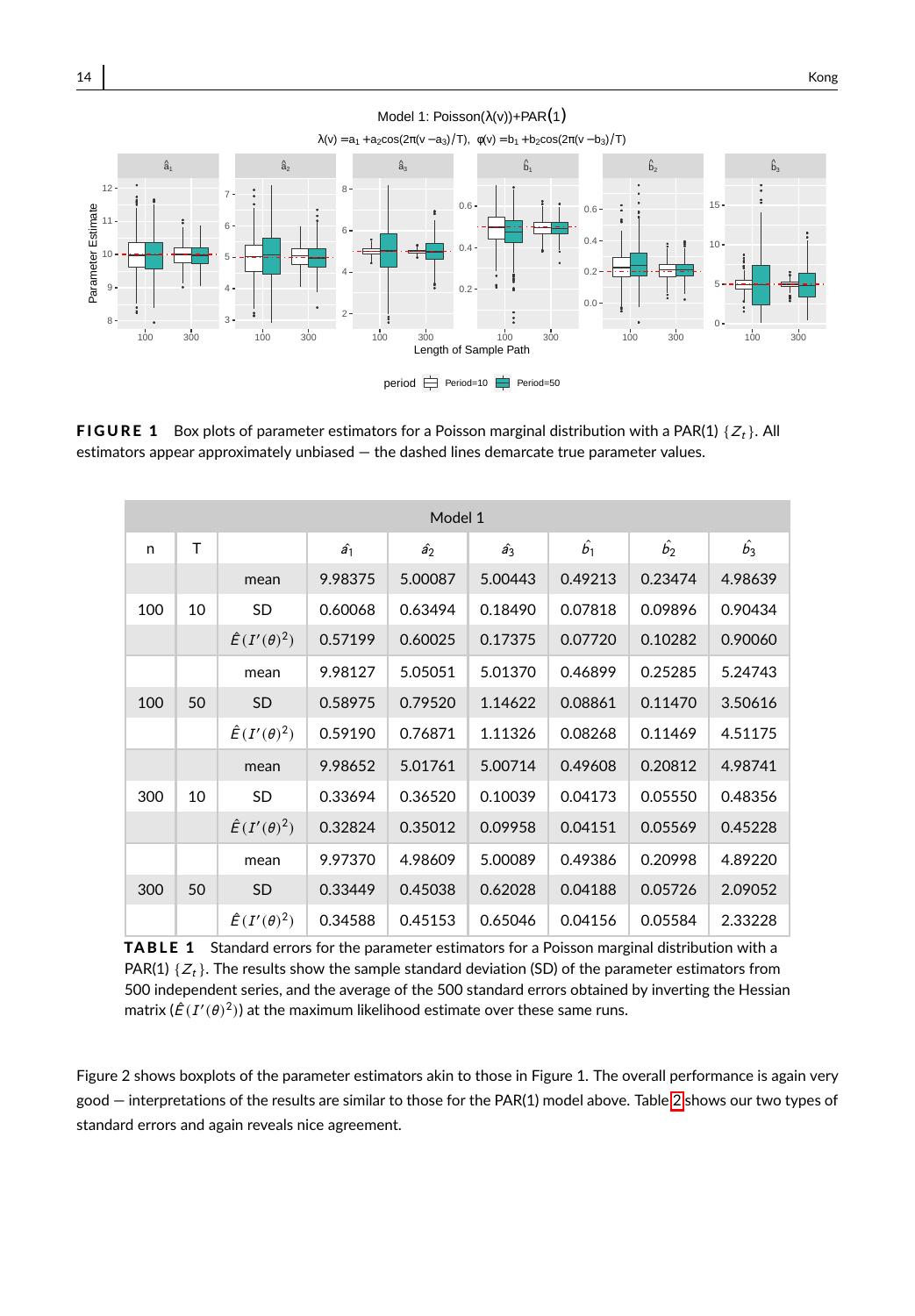

period  $\implies$  Period=10 Period=50

**FIGURE 1** Box plots of parameter estimators for a Poisson marginal distribution with a PAR(1)  $\{Z_t\}$ . All estimators appear approximately unbiased — the dashed lines demarcate true parameter values.

<span id="page-13-0"></span>

|     | Model 1 |                         |             |             |             |             |             |             |  |  |  |  |  |
|-----|---------|-------------------------|-------------|-------------|-------------|-------------|-------------|-------------|--|--|--|--|--|
| n   | T       |                         | $\hat{a_1}$ | $\hat{a_2}$ | $\hat{a_3}$ | $\hat{b_1}$ | $\hat{b_2}$ | $\hat{b_3}$ |  |  |  |  |  |
|     |         | mean                    | 9.98375     | 5.00087     | 5.00443     | 0.49213     | 0.23474     | 4.98639     |  |  |  |  |  |
| 100 | 10      | SD                      | 0.60068     | 0.63494     | 0.18490     | 0.07818     | 0.09896     | 0.90434     |  |  |  |  |  |
|     |         | $\hat{E}(I'(\theta)^2)$ | 0.57199     | 0.60025     | 0.17375     | 0.07720     | 0.10282     | 0.90060     |  |  |  |  |  |
|     |         | mean                    | 9.98127     | 5.05051     | 5.01370     | 0.46899     | 0.25285     | 5.24743     |  |  |  |  |  |
| 100 | 50      | <b>SD</b>               | 0.58975     | 0.79520     | 1.14622     | 0.08861     | 0.11470     | 3.50616     |  |  |  |  |  |
|     |         | $\hat{E}(I'(\theta)^2)$ | 0.59190     | 0.76871     | 1.11326     | 0.08268     | 0.11469     | 4.51175     |  |  |  |  |  |
|     |         | mean                    | 9.98652     | 5.01761     | 5.00714     | 0.49608     | 0.20812     | 4.98741     |  |  |  |  |  |
| 300 | 10      | SD                      | 0.33694     | 0.36520     | 0.10039     | 0.04173     | 0.05550     | 0.48356     |  |  |  |  |  |
|     |         | $\hat{E}(I'(\theta)^2)$ | 0.32824     | 0.35012     | 0.09958     | 0.04151     | 0.05569     | 0.45228     |  |  |  |  |  |
|     |         | mean                    | 9.97370     | 4.98609     | 5.00089     | 0.49386     | 0.20998     | 4.89220     |  |  |  |  |  |
| 300 | 50      | <b>SD</b>               | 0.33449     | 0.45038     | 0.62028     | 0.04188     | 0.05726     | 2.09052     |  |  |  |  |  |
|     |         | $\hat{E}(I'(\theta)^2)$ | 0.34588     | 0.45153     | 0.65046     | 0.04156     | 0.05584     | 2.33228     |  |  |  |  |  |

**TABLE 1** Standard errors for the parameter estimators for a Poisson marginal distribution with a PAR(1)  $\{Z_t\}$ . The results show the sample standard deviation (SD) of the parameter estimators from 500 independent series, and the average of the 500 standard errors obtained by inverting the Hessian matrix ( $\hat{E}(I'(\theta)^2)$ ) at the maximum likelihood estimate over these same runs.

Figure 2 shows boxplots of the parameter estimators akin to those in Figure 1. The overall performance is again very good — interpretations of the results are similar to those for the PAR(1) model above. Table [2](#page-14-0) shows our two types of standard errors and again reveals nice agreement.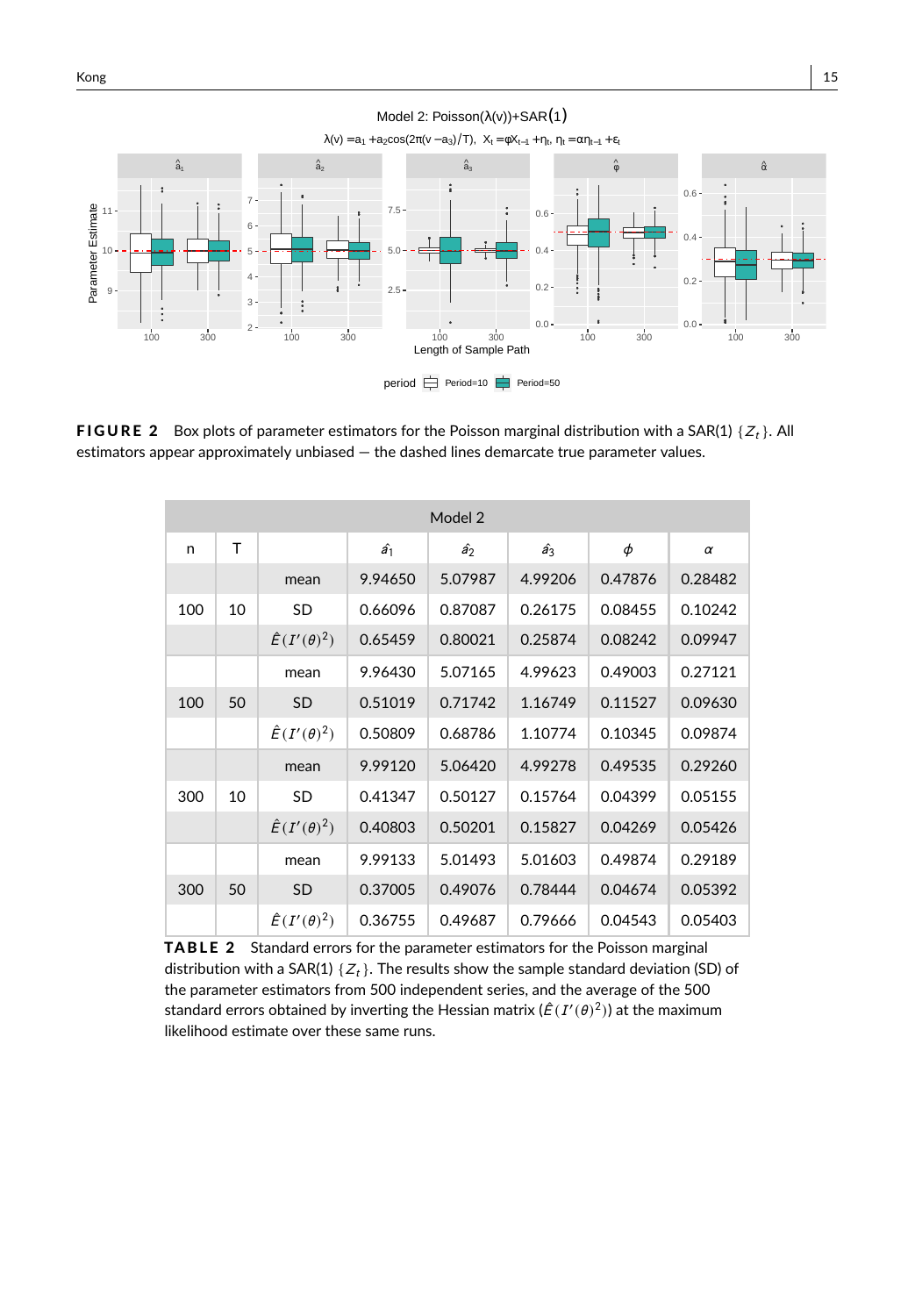

FIGURE 2 Box plots of parameter estimators for the Poisson marginal distribution with a SAR(1)  $\{Z_t\}$ . All

<span id="page-14-0"></span>estimators appear approximately unbiased — the dashed lines demarcate true parameter values.

|     | Model 2 |                         |             |             |             |         |         |  |  |  |  |  |  |
|-----|---------|-------------------------|-------------|-------------|-------------|---------|---------|--|--|--|--|--|--|
| n   | T       |                         | $\hat{a_1}$ | $\hat{a_2}$ | $\hat{a_3}$ | φ       | α       |  |  |  |  |  |  |
|     |         | mean                    | 9.94650     | 5.07987     | 4.99206     | 0.47876 | 0.28482 |  |  |  |  |  |  |
| 100 | 10      | SD                      | 0.66096     | 0.87087     | 0.26175     | 0.08455 | 0.10242 |  |  |  |  |  |  |
|     |         | $\hat{E}(I'(\theta)^2)$ | 0.65459     | 0.80021     | 0.25874     | 0.08242 | 0.09947 |  |  |  |  |  |  |
|     |         | mean                    | 9.96430     | 5.07165     | 4.99623     | 0.49003 | 0.27121 |  |  |  |  |  |  |
| 100 | 50      | <b>SD</b>               | 0.51019     | 0.71742     | 1.16749     | 0.11527 | 0.09630 |  |  |  |  |  |  |
|     |         | $\hat{E}(I'(\theta)^2)$ | 0.50809     | 0.68786     | 1.10774     | 0.10345 | 0.09874 |  |  |  |  |  |  |
|     |         | mean                    | 9.99120     | 5.06420     | 4.99278     | 0.49535 | 0.29260 |  |  |  |  |  |  |
| 300 | 10      | <b>SD</b>               | 0.41347     | 0.50127     | 0.15764     | 0.04399 | 0.05155 |  |  |  |  |  |  |
|     |         | $\hat{E}(I'(\theta)^2)$ | 0.40803     | 0.50201     | 0.15827     | 0.04269 | 0.05426 |  |  |  |  |  |  |
|     |         | mean                    | 9.99133     | 5.01493     | 5.01603     | 0.49874 | 0.29189 |  |  |  |  |  |  |
| 300 | 50      | <b>SD</b>               | 0.37005     | 0.49076     | 0.78444     | 0.04674 | 0.05392 |  |  |  |  |  |  |
|     |         | $\hat{E}(I'(\theta)^2)$ | 0.36755     | 0.49687     | 0.79666     | 0.04543 | 0.05403 |  |  |  |  |  |  |

TABLE 2 Standard errors for the parameter estimators for the Poisson marginal distribution with a SAR(1)  $\{Z_t\}$ . The results show the sample standard deviation (SD) of the parameter estimators from 500 independent series, and the average of the 500 standard errors obtained by inverting the Hessian matrix ( $\hat{\mathcal{E}}(I'(\theta)^2)$ ) at the maximum likelihood estimate over these same runs.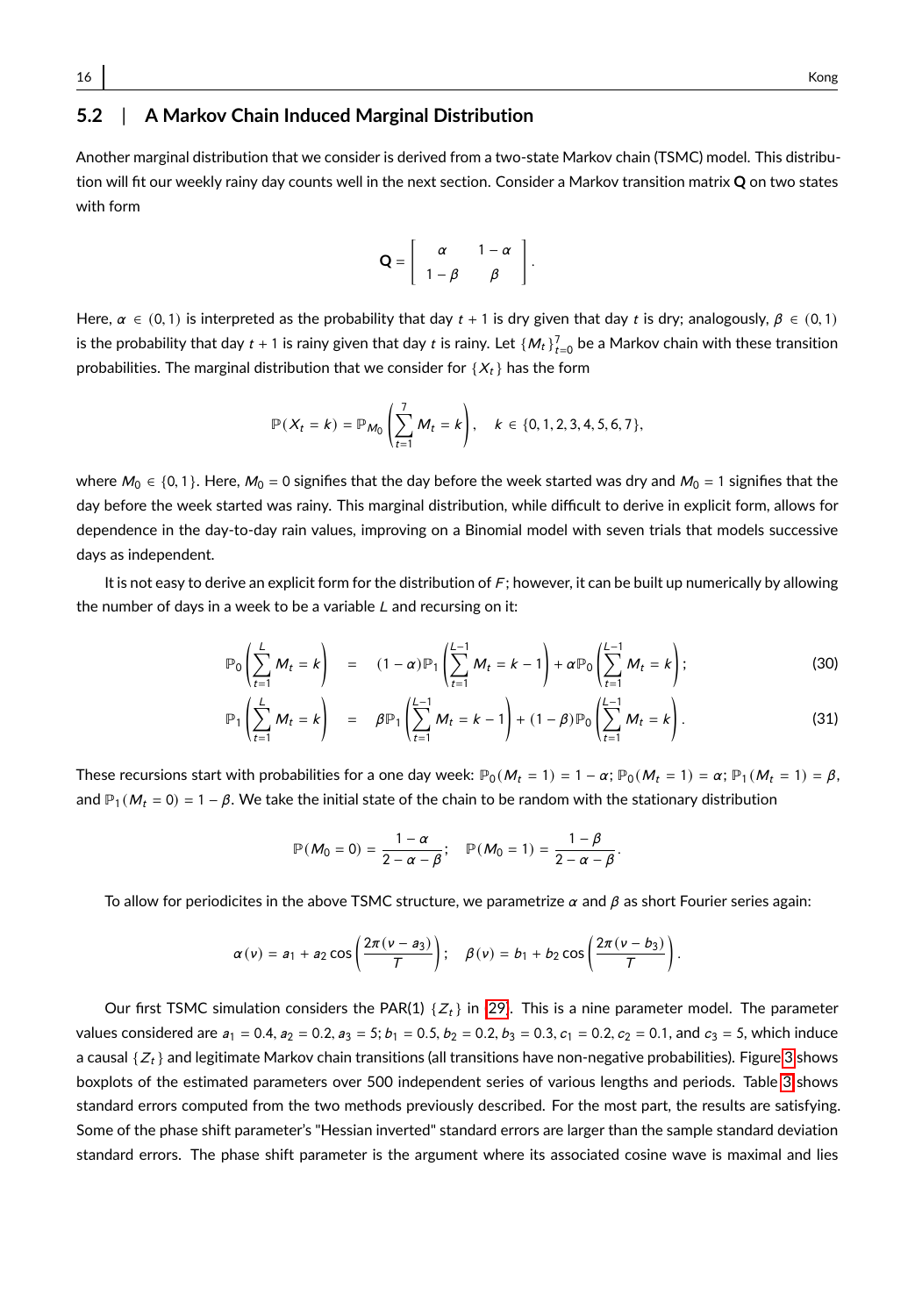# **5.2** | **A Markov Chain Induced Marginal Distribution**

Another marginal distribution that we consider is derived from a two-state Markov chain (TSMC) model. This distribution will fit our weekly rainy day counts well in the next section. Consider a Markov transition matrix **Q** on two states with form

$$
\mathbf{Q} = \left[ \begin{array}{cc} \alpha & 1 - \alpha \\ 1 - \beta & \beta \end{array} \right].
$$

Here,  $\alpha \in (0, 1)$  is interpreted as the probability that day  $t + 1$  is dry given that day t is dry; analogously,  $\beta \in (0, 1)$ is the probability that day  $t + 1$  is rainy given that day  $t$  is rainy. Let  $\{M_t\}_{t=0}^7$  be a Markov chain with these transition probabilities. The marginal distribution that we consider for  $\{X_t\}$  has the form

$$
\mathbb{P}(X_t = k) = \mathbb{P}_{M_0}\left(\sum_{t=1}^7 M_t = k\right), \quad k \in \{0, 1, 2, 3, 4, 5, 6, 7\},\
$$

where  $M_0 \in \{0, 1\}$ . Here,  $M_0 = 0$  signifies that the day before the week started was dry and  $M_0 = 1$  signifies that the day before the week started was rainy. This marginal distribution, while difficult to derive in explicit form, allows for dependence in the day-to-day rain values, improving on a Binomial model with seven trials that models successive days as independent.

It is not easy to derive an explicit form for the distribution of F; however, it can be built up numerically by allowing the number of days in a week to be a variable  $L$  and recursing on it:

$$
\mathbb{P}_0\left(\sum_{t=1}^L M_t = k\right) = (1-\alpha)\mathbb{P}_1\left(\sum_{t=1}^{L-1} M_t = k-1\right) + \alpha \mathbb{P}_0\left(\sum_{t=1}^{L-1} M_t = k\right); \tag{30}
$$

$$
\mathbb{P}_1\left(\sum_{t=1}^L M_t = k\right) = \beta \mathbb{P}_1\left(\sum_{t=1}^{L-1} M_t = k-1\right) + (1-\beta) \mathbb{P}_0\left(\sum_{t=1}^{L-1} M_t = k\right).
$$
 (31)

These recursions start with probabilities for a one day week:  $\mathbb{P}_0(M_t = 1) = 1 - \alpha$ ;  $\mathbb{P}_0(M_t = 1) = \alpha$ ;  $\mathbb{P}_1(M_t = 1) = \beta$ , and  $\mathbb{P}_1(M_t = 0) = 1 - \beta$ . We take the initial state of the chain to be random with the stationary distribution

$$
\mathbb{P}(M_0=0)=\frac{1-\alpha}{2-\alpha-\beta}; \quad \mathbb{P}(M_0=1)=\frac{1-\beta}{2-\alpha-\beta}.
$$

To allow for periodicites in the above TSMC structure, we parametrize  $\alpha$  and  $\beta$  as short Fourier series again:

$$
\alpha(v) = a_1 + a_2 \cos\left(\frac{2\pi(v-a_3)}{T}\right); \quad \beta(v) = b_1 + b_2 \cos\left(\frac{2\pi(v-b_3)}{T}\right).
$$

Our first TSMC simulation considers the PAR(1)  $\{Z_t\}$  in [\(29\)](#page-12-0). This is a nine parameter model. The parameter values considered are  $a_1 = 0.4$ ,  $a_2 = 0.2$ ,  $a_3 = 5$ ;  $b_1 = 0.5$ ,  $b_2 = 0.2$ ,  $b_3 = 0.3$ ,  $c_1 = 0.2$ ,  $c_2 = 0.1$ , and  $c_3 = 5$ , which induce a causal  $\{Z_t\}$  and legitimate Markov chain transitions (all transitions have non-negative probabilities). Figure [3](#page-16-0) shows boxplots of the estimated parameters over 500 independent series of various lengths and periods. Table [3](#page-16-1) shows standard errors computed from the two methods previously described. For the most part, the results are satisfying. Some of the phase shift parameter's "Hessian inverted" standard errors are larger than the sample standard deviation standard errors. The phase shift parameter is the argument where its associated cosine wave is maximal and lies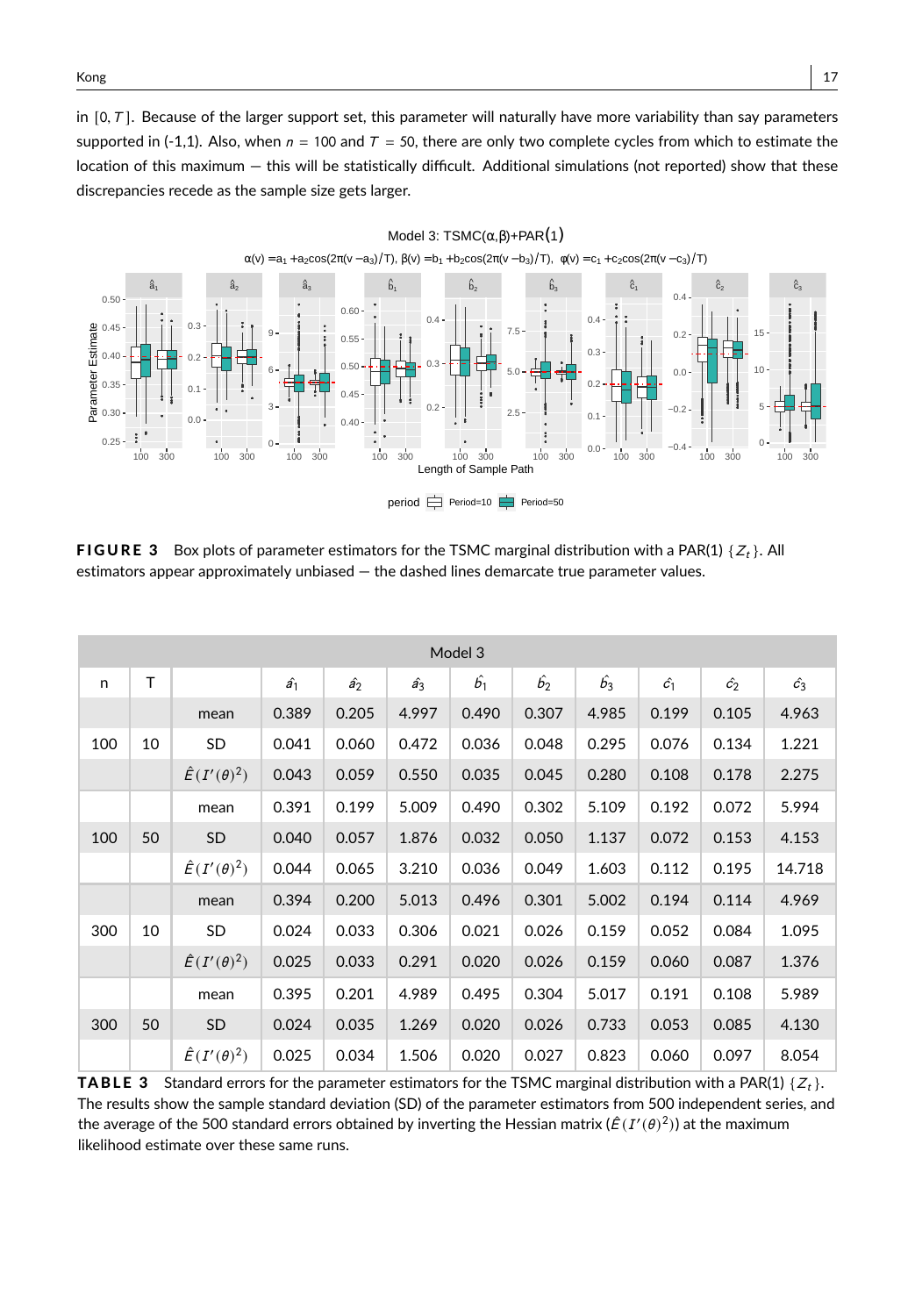in  $[0, T]$ . Because of the larger support set, this parameter will naturally have more variability than say parameters supported in (-1,1). Also, when  $n = 100$  and  $T = 50$ , there are only two complete cycles from which to estimate the location of this maximum — this will be statistically difficult. Additional simulations (not reported) show that these discrepancies recede as the sample size gets larger.

<span id="page-16-0"></span>

**FIGURE 3** Box plots of parameter estimators for the TSMC marginal distribution with a PAR(1)  $\{Z_t\}$ . All estimators appear approximately unbiased — the dashed lines demarcate true parameter values.

<span id="page-16-1"></span>

|     | Model 3 |                         |             |             |             |             |             |             |             |             |             |  |  |  |
|-----|---------|-------------------------|-------------|-------------|-------------|-------------|-------------|-------------|-------------|-------------|-------------|--|--|--|
| n   | T.      |                         | $\hat{a_1}$ | $\hat{a_2}$ | $\hat{a_3}$ | $\hat{b_1}$ | $\hat{b_2}$ | $\hat{b_3}$ | $\hat{c_1}$ | $\hat{c_2}$ | $\hat{c_3}$ |  |  |  |
|     |         | mean                    | 0.389       | 0.205       | 4.997       | 0.490       | 0.307       | 4.985       | 0.199       | 0.105       | 4.963       |  |  |  |
| 100 | 10      | SD                      | 0.041       | 0.060       | 0.472       | 0.036       | 0.048       | 0.295       | 0.076       | 0.134       | 1.221       |  |  |  |
|     |         | $\hat{E}(I'(\theta)^2)$ | 0.043       | 0.059       | 0.550       | 0.035       | 0.045       | 0.280       | 0.108       | 0.178       | 2.275       |  |  |  |
|     |         | mean                    | 0.391       | 0.199       | 5.009       | 0.490       | 0.302       | 5.109       | 0.192       | 0.072       | 5.994       |  |  |  |
| 100 | 50      | SD                      | 0.040       | 0.057       | 1.876       | 0.032       | 0.050       | 1.137       | 0.072       | 0.153       | 4.153       |  |  |  |
|     |         | $\hat{E}(I'(\theta)^2)$ | 0.044       | 0.065       | 3.210       | 0.036       | 0.049       | 1.603       | 0.112       | 0.195       | 14.718      |  |  |  |
|     |         | mean                    | 0.394       | 0.200       | 5.013       | 0.496       | 0.301       | 5.002       | 0.194       | 0.114       | 4.969       |  |  |  |
| 300 | 10      | <b>SD</b>               | 0.024       | 0.033       | 0.306       | 0.021       | 0.026       | 0.159       | 0.052       | 0.084       | 1.095       |  |  |  |
|     |         | $\hat{E}(I'(\theta)^2)$ | 0.025       | 0.033       | 0.291       | 0.020       | 0.026       | 0.159       | 0.060       | 0.087       | 1.376       |  |  |  |
|     |         | mean                    | 0.395       | 0.201       | 4.989       | 0.495       | 0.304       | 5.017       | 0.191       | 0.108       | 5.989       |  |  |  |
| 300 | 50      | <b>SD</b>               | 0.024       | 0.035       | 1.269       | 0.020       | 0.026       | 0.733       | 0.053       | 0.085       | 4.130       |  |  |  |
|     |         | $\hat{E}(I'(\theta)^2)$ | 0.025       | 0.034       | 1.506       | 0.020       | 0.027       | 0.823       | 0.060       | 0.097       | 8.054       |  |  |  |

**TABLE 3** Standard errors for the parameter estimators for the TSMC marginal distribution with a PAR(1)  $\{Z_t\}$ . The results show the sample standard deviation (SD) of the parameter estimators from 500 independent series, and the average of the 500 standard errors obtained by inverting the Hessian matrix ( $\hat{E}(I'(\theta)^2)$ ) at the maximum likelihood estimate over these same runs.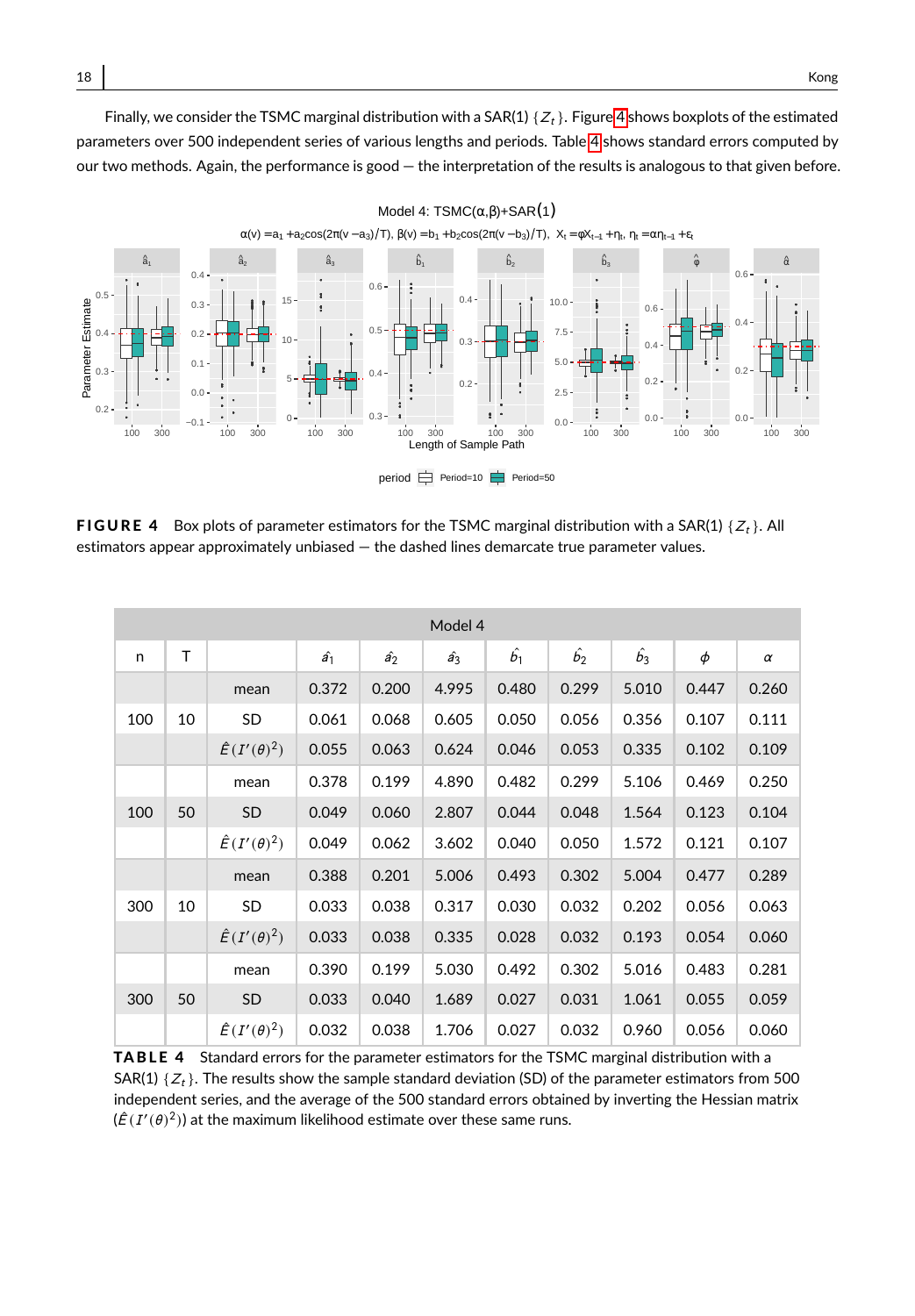Finally, we consider the TSMC marginal distribution with a SAR(1)  $\{Z_t\}$ . Figure [4](#page-17-0) shows boxplots of the estimated parameters over 500 independent series of various lengths and periods. Table [4](#page-17-1) shows standard errors computed by our two methods. Again, the performance is good — the interpretation of the results is analogous to that given before.

<span id="page-17-0"></span>

**FIGURE 4** Box plots of parameter estimators for the TSMC marginal distribution with a SAR(1)  $\{Z_t\}$ . All estimators appear approximately unbiased — the dashed lines demarcate true parameter values.

<span id="page-17-1"></span>

|     | Model 4 |                         |             |             |             |             |             |             |        |          |  |  |  |
|-----|---------|-------------------------|-------------|-------------|-------------|-------------|-------------|-------------|--------|----------|--|--|--|
| n   | T       |                         | $\hat{a_1}$ | $\hat{a_2}$ | $\hat{a_3}$ | $\hat{b_1}$ | $\hat{b_2}$ | $\hat{b_3}$ | $\phi$ | $\alpha$ |  |  |  |
|     |         | mean                    | 0.372       | 0.200       | 4.995       | 0.480       | 0.299       | 5.010       | 0.447  | 0.260    |  |  |  |
| 100 | 10      | SD                      | 0.061       | 0.068       | 0.605       | 0.050       | 0.056       | 0.356       | 0.107  | 0.111    |  |  |  |
|     |         | $\hat{E}(I'(\theta)^2)$ | 0.055       | 0.063       | 0.624       | 0.046       | 0.053       | 0.335       | 0.102  | 0.109    |  |  |  |
|     |         | mean                    | 0.378       | 0.199       | 4.890       | 0.482       | 0.299       | 5.106       | 0.469  | 0.250    |  |  |  |
| 100 | 50      | <b>SD</b>               | 0.049       | 0.060       | 2.807       | 0.044       | 0.048       | 1.564       | 0.123  | 0.104    |  |  |  |
|     |         | $\hat{E}(I'(\theta)^2)$ | 0.049       | 0.062       | 3.602       | 0.040       | 0.050       | 1.572       | 0.121  | 0.107    |  |  |  |
|     |         | mean                    | 0.388       | 0.201       | 5.006       | 0.493       | 0.302       | 5.004       | 0.477  | 0.289    |  |  |  |
| 300 | 10      | SD                      | 0.033       | 0.038       | 0.317       | 0.030       | 0.032       | 0.202       | 0.056  | 0.063    |  |  |  |
|     |         | $\hat{E}(I'(\theta)^2)$ | 0.033       | 0.038       | 0.335       | 0.028       | 0.032       | 0.193       | 0.054  | 0.060    |  |  |  |
|     |         | mean                    | 0.390       | 0.199       | 5.030       | 0.492       | 0.302       | 5.016       | 0.483  | 0.281    |  |  |  |
| 300 | 50      | SD                      | 0.033       | 0.040       | 1.689       | 0.027       | 0.031       | 1.061       | 0.055  | 0.059    |  |  |  |
|     |         | $\hat{E}(I'(\theta)^2)$ | 0.032       | 0.038       | 1.706       | 0.027       | 0.032       | 0.960       | 0.056  | 0.060    |  |  |  |

TABLE 4 Standard errors for the parameter estimators for the TSMC marginal distribution with a SAR(1)  $\{Z_t\}$ . The results show the sample standard deviation (SD) of the parameter estimators from 500 independent series, and the average of the 500 standard errors obtained by inverting the Hessian matrix  $(\hat{E}(I'(\theta)^2))$  at the maximum likelihood estimate over these same runs.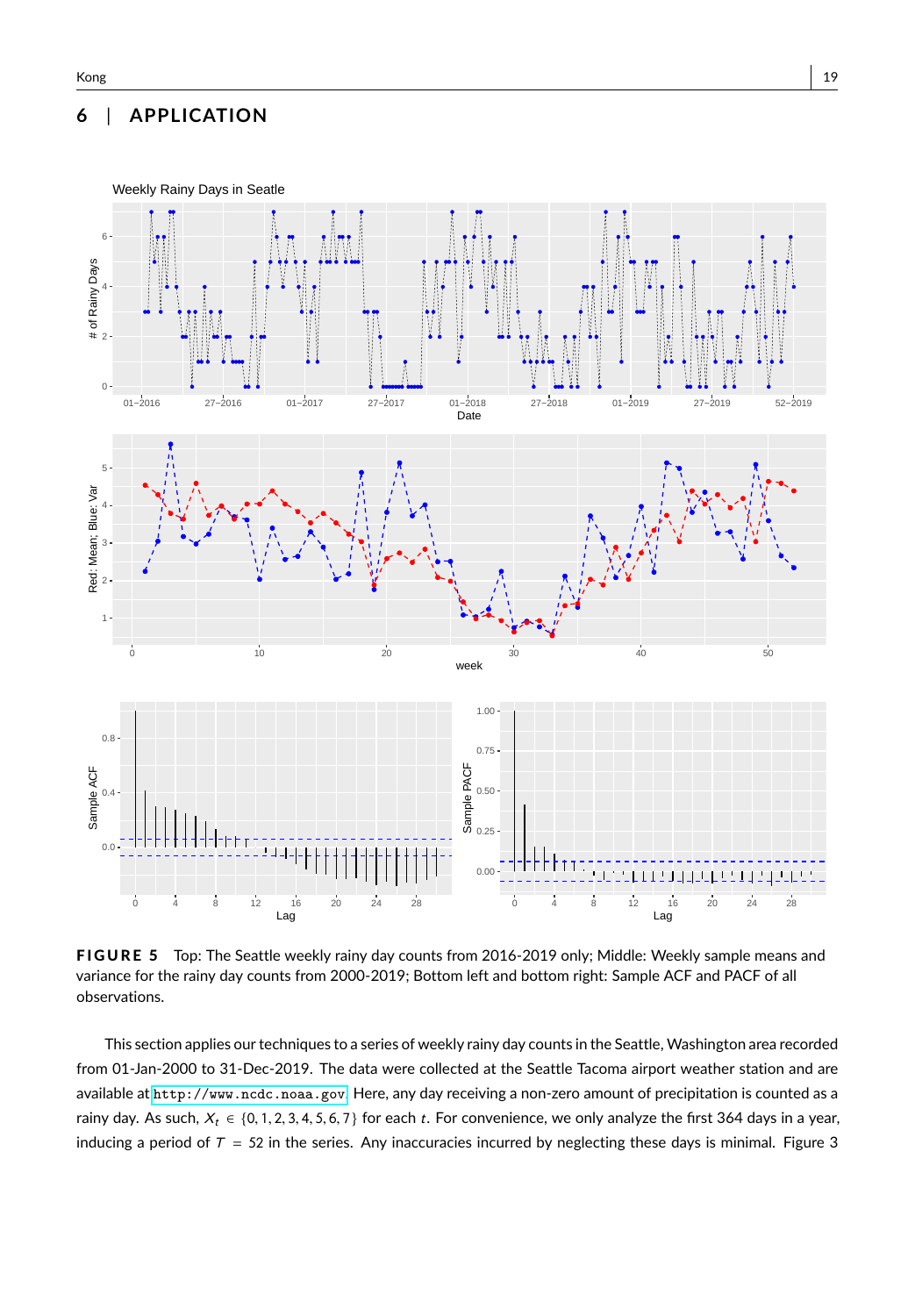## **6** | **APPLICATION**

<span id="page-18-0"></span>

FIGURE 5 Top: The Seattle weekly rainy day counts from 2016-2019 only; Middle: Weekly sample means and variance for the rainy day counts from 2000-2019; Bottom left and bottom right: Sample ACF and PACF of all observations.

This section applies our techniques to a series of weekly rainy day counts in the Seattle, Washington area recorded from 01-Jan-2000 to 31-Dec-2019. The data were collected at the Seattle Tacoma airport weather station and are available at <http://www.ncdc.noaa.gov>. Here, any day receiving a non-zero amount of precipitation is counted as a rainy day. As such,  $X_t \in \{0, 1, 2, 3, 4, 5, 6, 7\}$  for each t. For convenience, we only analyze the first 364 days in a year, inducing a period of  $T = 52$  in the series. Any inaccuracies incurred by neglecting these days is minimal. Figure 3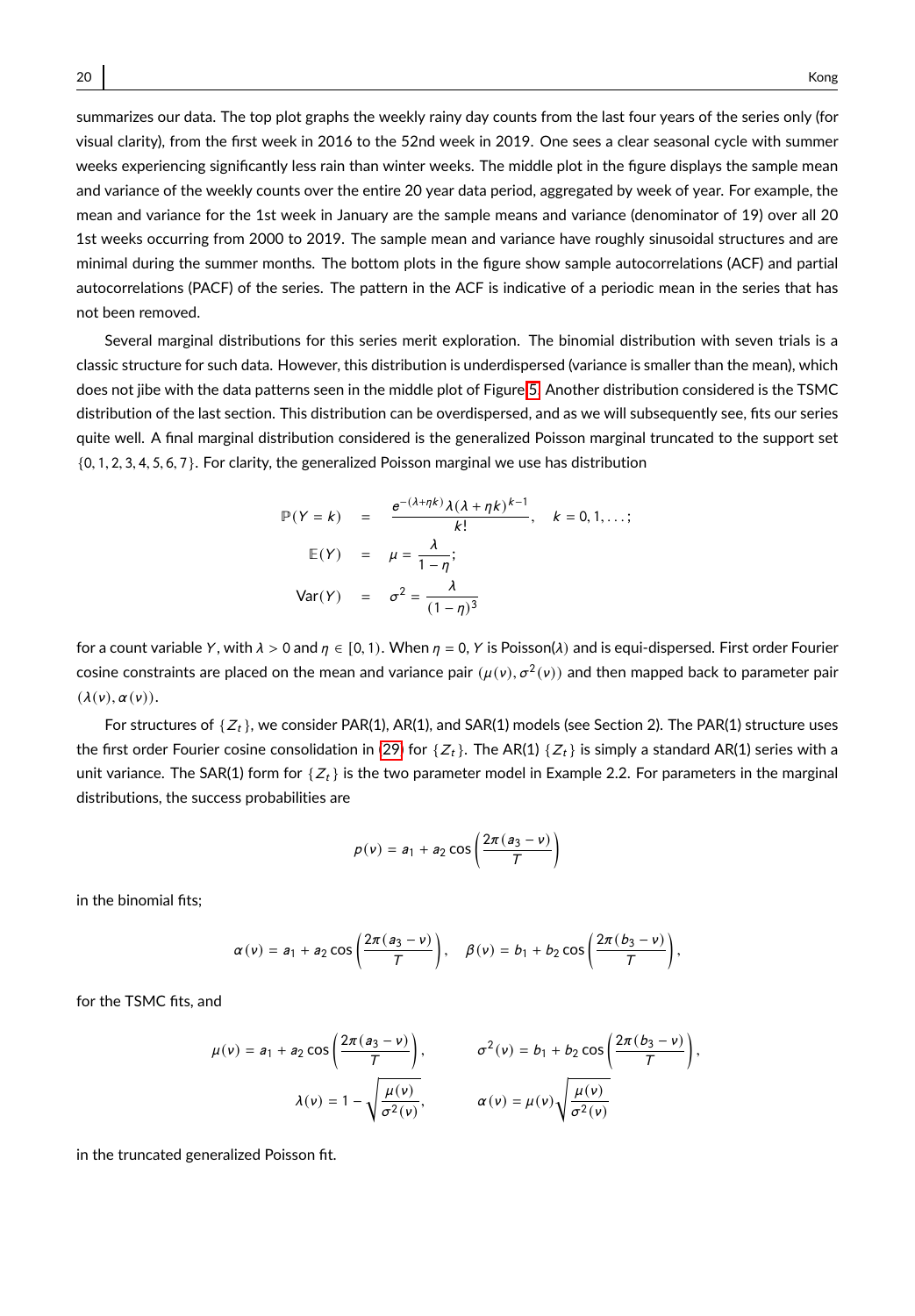summarizes our data. The top plot graphs the weekly rainy day counts from the last four years of the series only (for visual clarity), from the first week in 2016 to the 52nd week in 2019. One sees a clear seasonal cycle with summer weeks experiencing significantly less rain than winter weeks. The middle plot in the figure displays the sample mean and variance of the weekly counts over the entire 20 year data period, aggregated by week of year. For example, the mean and variance for the 1st week in January are the sample means and variance (denominator of 19) over all 20 1st weeks occurring from 2000 to 2019. The sample mean and variance have roughly sinusoidal structures and are minimal during the summer months. The bottom plots in the figure show sample autocorrelations (ACF) and partial autocorrelations (PACF) of the series. The pattern in the ACF is indicative of a periodic mean in the series that has not been removed.

Several marginal distributions for this series merit exploration. The binomial distribution with seven trials is a classic structure for such data. However, this distribution is underdispersed (variance is smaller than the mean), which does not jibe with the data patterns seen in the middle plot of Figure [5.](#page-18-0) Another distribution considered is the TSMC distribution of the last section. This distribution can be overdispersed, and as we will subsequently see, fits our series quite well. A final marginal distribution considered is the generalized Poisson marginal truncated to the support set {0, <sup>1</sup>, <sup>2</sup>, <sup>3</sup>, <sup>4</sup>, <sup>5</sup>, <sup>6</sup>, <sup>7</sup>}. For clarity, the generalized Poisson marginal we use has distribution

$$
\mathbb{P}(Y = k) = \frac{e^{-(\lambda + \eta k)} \lambda (\lambda + \eta k)^{k-1}}{k!}, \quad k = 0, 1, ...;
$$
  

$$
\mathbb{E}(Y) = \mu = \frac{\lambda}{1 - \eta};
$$
  

$$
\text{Var}(Y) = \sigma^2 = \frac{\lambda}{(1 - \eta)^3}
$$

for a count variable Y, with  $\lambda > 0$  and  $\eta \in [0, 1)$ . When  $\eta = 0$ , Y is Poisson( $\lambda$ ) and is equi-dispersed. First order Fourier cosine constraints are placed on the mean and variance pair  $(\mu(v), \sigma^2(v))$  and then mapped back to parameter pair<br>((ε) = (ε) = (ε)  $(\lambda(v), \alpha(v)).$ 

For structures of  $\{Z_t\}$ , we consider PAR(1), AR(1), and SAR(1) models (see Section 2). The PAR(1) structure uses the first order Fourier cosine consolidation in [\(29\)](#page-12-0) for { $Z_t$ }. The AR(1) { $Z_t$ } is simply a standard AR(1) series with a unit variance. The SAR(1) form for  ${Z_t}$  is the two parameter model in Example 2.2. For parameters in the marginal distributions, the success probabilities are

$$
p(v) = a_1 + a_2 \cos\left(\frac{2\pi (a_3 - v)}{T}\right)
$$

in the binomial fits;

$$
\alpha(v) = a_1 + a_2 \cos\left(\frac{2\pi (a_3 - v)}{T}\right), \quad \beta(v) = b_1 + b_2 \cos\left(\frac{2\pi (b_3 - v)}{T}\right),
$$

for the TSMC fits, and

$$
\mu(v) = a_1 + a_2 \cos\left(\frac{2\pi (a_3 - v)}{\tau}\right), \qquad \sigma^2(v) = b_1 + b_2 \cos\left(\frac{2\pi (b_3 - v)}{\tau}\right),
$$

$$
\lambda(v) = 1 - \sqrt{\frac{\mu(v)}{\sigma^2(v)}}, \qquad \alpha(v) = \mu(v) \sqrt{\frac{\mu(v)}{\sigma^2(v)}}
$$

in the truncated generalized Poisson fit.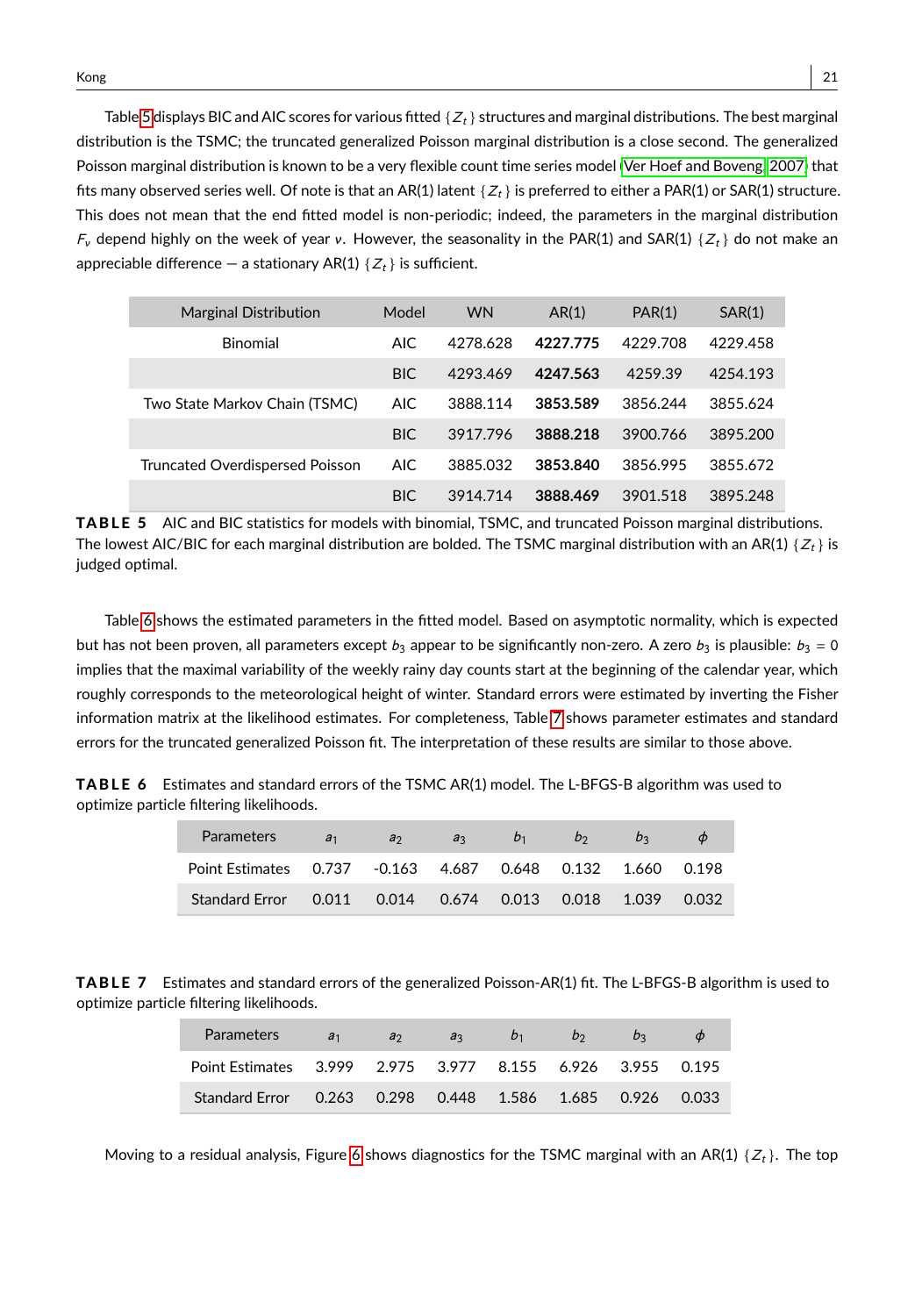Table [5](#page-20-0) displays BIC and AIC scores for various fitted  $\{Z_t\}$  structures and marginal distributions. The best marginal distribution is the TSMC; the truncated generalized Poisson marginal distribution is a close second. The generalized Poisson marginal distribution is known to be a very flexible count time series model [\(Ver Hoef and Boveng, 2007\)](#page-28-12) that fits many observed series well. Of note is that an AR(1) latent  $\{Z_t\}$  is preferred to either a PAR(1) or SAR(1) structure. This does not mean that the end fitted model is non-periodic; indeed, the parameters in the marginal distribution  $F_v$  depend highly on the week of year v. However, the seasonality in the PAR(1) and SAR(1) { $Z_t$ } do not make an appreciable difference – a stationary AR(1)  $\{Z_t\}$  is sufficient.

<span id="page-20-0"></span>

| <b>Marginal Distribution</b>    | Model      | <b>WN</b> | AR(1)    | PAR(1)   | SAR(1)   |
|---------------------------------|------------|-----------|----------|----------|----------|
| Binomial                        | <b>AIC</b> | 4278.628  | 4227 775 | 4229.708 | 4229.458 |
|                                 | BIC.       | 4293.469  | 4247.563 | 4259.39  | 4254.193 |
| Two State Markov Chain (TSMC)   | <b>AIC</b> | 3888.114  | 3853.589 | 3856.244 | 3855.624 |
|                                 | BIC.       | 3917.796  | 3888.218 | 3900.766 | 3895.200 |
| Truncated Overdispersed Poisson | <b>AIC</b> | 3885.032  | 3853.840 | 3856.995 | 3855.672 |
|                                 | <b>BIC</b> | 3914.714  | 3888.469 | 3901.518 | 3895.248 |

TABLE 5 AIC and BIC statistics for models with binomial, TSMC, and truncated Poisson marginal distributions. The lowest AIC/BIC for each marginal distribution are bolded. The TSMC marginal distribution with an AR(1)  $\{Z_t\}$  is judged optimal.

Table [6](#page-20-1) shows the estimated parameters in the fitted model. Based on asymptotic normality, which is expected but has not been proven, all parameters except  $b_3$  appear to be significantly non-zero. A zero  $b_3$  is plausible:  $b_3 = 0$ implies that the maximal variability of the weekly rainy day counts start at the beginning of the calendar year, which roughly corresponds to the meteorological height of winter. Standard errors were estimated by inverting the Fisher information matrix at the likelihood estimates. For completeness, Table [7](#page-20-2) shows parameter estimates and standard errors for the truncated generalized Poisson fit. The interpretation of these results are similar to those above.

<span id="page-20-1"></span>**TABLE 6** Estimates and standard errors of the TSMC AR(1) model. The L-BFGS-B algorithm was used to optimize particle filtering likelihoods.

| <b>Parameters</b>                                          | a <sub>1</sub> | a <sub>2</sub> | a <sub>3</sub> | $b_1$ | b <sub>2</sub> | b |       |
|------------------------------------------------------------|----------------|----------------|----------------|-------|----------------|---|-------|
| Point Estimates 0.737 -0.163 4.687 0.648 0.132 1.660 0.198 |                |                |                |       |                |   |       |
| Standard Error  0.011  0.014  0.674  0.013  0.018  1.039   |                |                |                |       |                |   | 0.032 |

<span id="page-20-2"></span>TABLE 7 Estimates and standard errors of the generalized Poisson-AR(1) fit. The L-BFGS-B algorithm is used to optimize particle filtering likelihoods.

| <b>Parameters</b>                                         | a <sub>1</sub> | a <sub>2</sub> | a <sub>3</sub> | b <sub>1</sub> | b <sub>2</sub> | D <sub>2</sub> |  |
|-----------------------------------------------------------|----------------|----------------|----------------|----------------|----------------|----------------|--|
| Point Estimates 3.999 2.975 3.977 8.155 6.926 3.955 0.195 |                |                |                |                |                |                |  |
| Standard Error 0.263 0.298 0.448 1.586 1.685 0.926 0.033  |                |                |                |                |                |                |  |

Moving to a residual analysis, Figure [6](#page-21-0) shows diagnostics for the TSMC marginal with an AR(1)  $\{Z_t\}$ . The top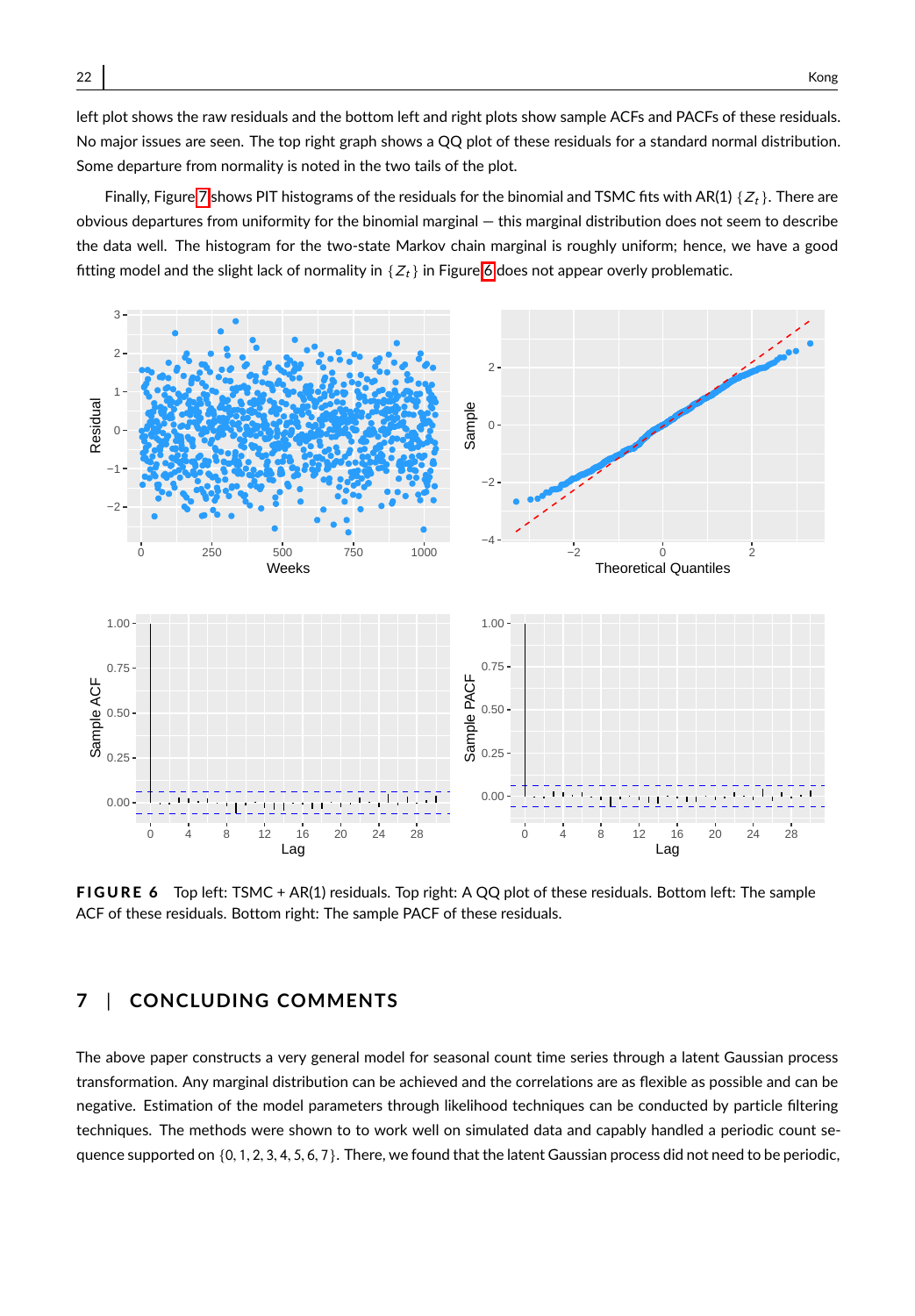left plot shows the raw residuals and the bottom left and right plots show sample ACFs and PACFs of these residuals. No major issues are seen. The top right graph shows a QQ plot of these residuals for a standard normal distribution. Some departure from normality is noted in the two tails of the plot.

Finally, Figure [7](#page-22-0) shows PIT histograms of the residuals for the binomial and TSMC fits with AR(1) { $Z_t$ }. There are obvious departures from uniformity for the binomial marginal — this marginal distribution does not seem to describe the data well. The histogram for the two-state Markov chain marginal is roughly uniform; hence, we have a good fitting model and the slight lack of normality in  $\{Z_t\}$  in Figure [6](#page-21-0) does not appear overly problematic.

<span id="page-21-0"></span>

FIGURE 6 Top left: TSMC + AR(1) residuals. Top right: A QQ plot of these residuals. Bottom left: The sample ACF of these residuals. Bottom right: The sample PACF of these residuals.

# **7** | **CONCLUDING COMMENTS**

The above paper constructs a very general model for seasonal count time series through a latent Gaussian process transformation. Any marginal distribution can be achieved and the correlations are as flexible as possible and can be negative. Estimation of the model parameters through likelihood techniques can be conducted by particle filtering techniques. The methods were shown to to work well on simulated data and capably handled a periodic count sequence supported on  $\{0, 1, 2, 3, 4, 5, 6, 7\}$ . There, we found that the latent Gaussian process did not need to be periodic,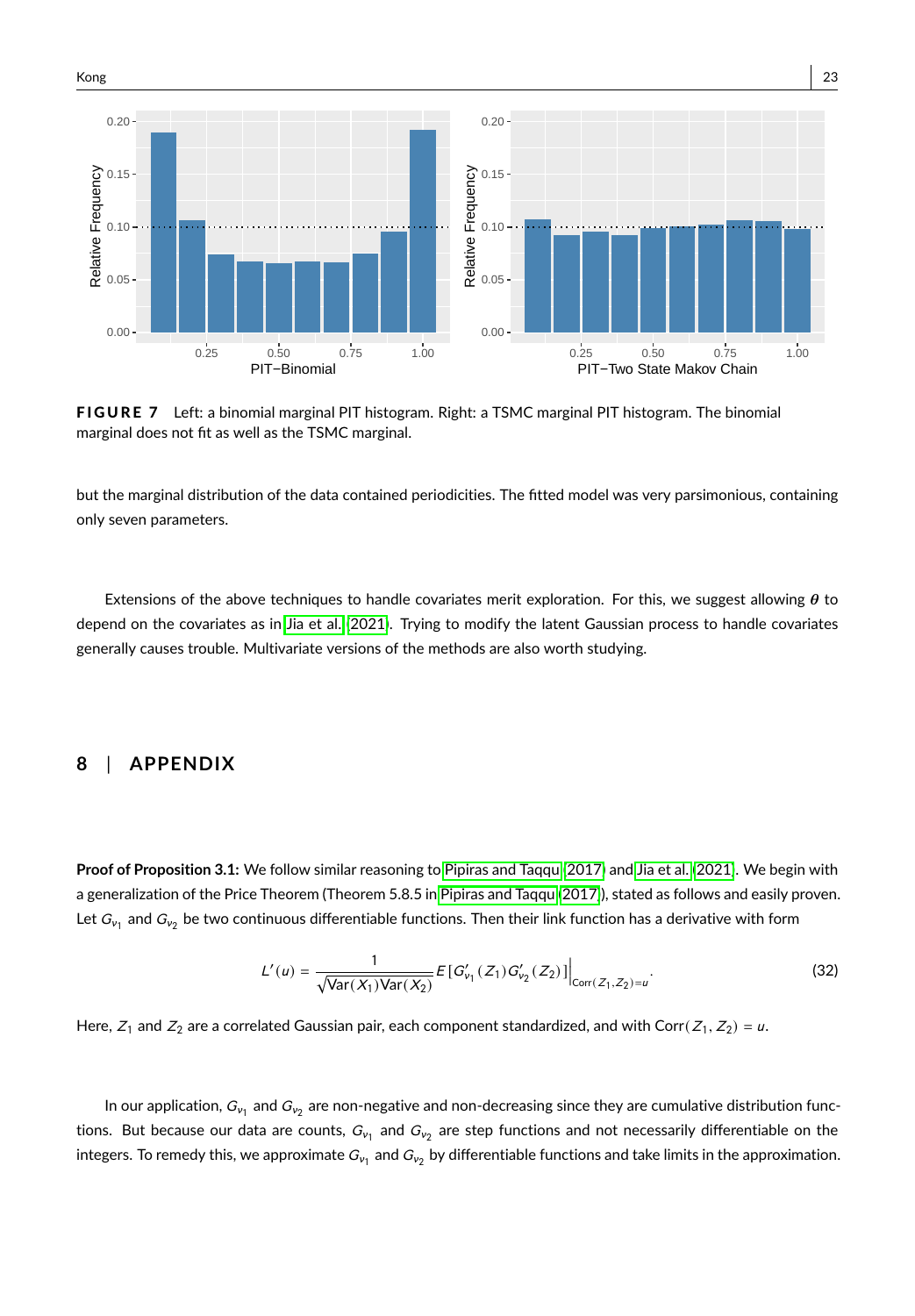<span id="page-22-0"></span>

FIGURE 7 Left: a binomial marginal PIT histogram. Right: a TSMC marginal PIT histogram. The binomial marginal does not fit as well as the TSMC marginal.

but the marginal distribution of the data contained periodicities. The fitted model was very parsimonious, containing only seven parameters.

Extensions of the above techniques to handle covariates merit exploration. For this, we suggest allowing  $\theta$  to depend on the covariates as in [Jia et al.](#page-27-0) [\(2021\)](#page-27-0). Trying to modify the latent Gaussian process to handle covariates generally causes trouble. Multivariate versions of the methods are also worth studying.

## **8** | **APPENDIX**

**Proof of Proposition 3.1:** We follow similar reasoning to [Pipiras and Taqqu \(2017\)](#page-28-13) and [Jia et al.](#page-27-0) [\(2021\)](#page-27-0). We begin with a generalization of the Price Theorem (Theorem 5.8.5 in [Pipiras and Taqqu](#page-28-13) [\(2017\)](#page-28-13)), stated as follows and easily proven. Let  $G_{{\nu}_1}$  and  $G_{{\nu}_2}$  be two continuous differentiable functions. Then their link function has a derivative with form

$$
L'(u) = \frac{1}{\sqrt{\text{Var}(X_1)\text{Var}(X_2)}} E\left[G'_{v_1}(Z_1)G'_{v_2}(Z_2)\right]\Big|_{\text{Corr}(Z_1, Z_2) = u}.
$$
\n(32)

Here,  $Z_1$  and  $Z_2$  are a correlated Gaussian pair, each component standardized, and with Corr( $Z_1, Z_2$ ) = u.

In our application,  $G_{{\nu}_1}$  and  $G_{{\nu}_2}$  are non-negative and non-decreasing since they are cumulative distribution functions. But because our data are counts,  $G_{{\nu}_1}$  and  $G_{{\nu}_2}$  are step functions and not necessarily differentiable on the integers. To remedy this, we approximate  $G_{\nu_1}$  and  $G_{\nu_2}$  by differentiable functions and take limits in the approximation.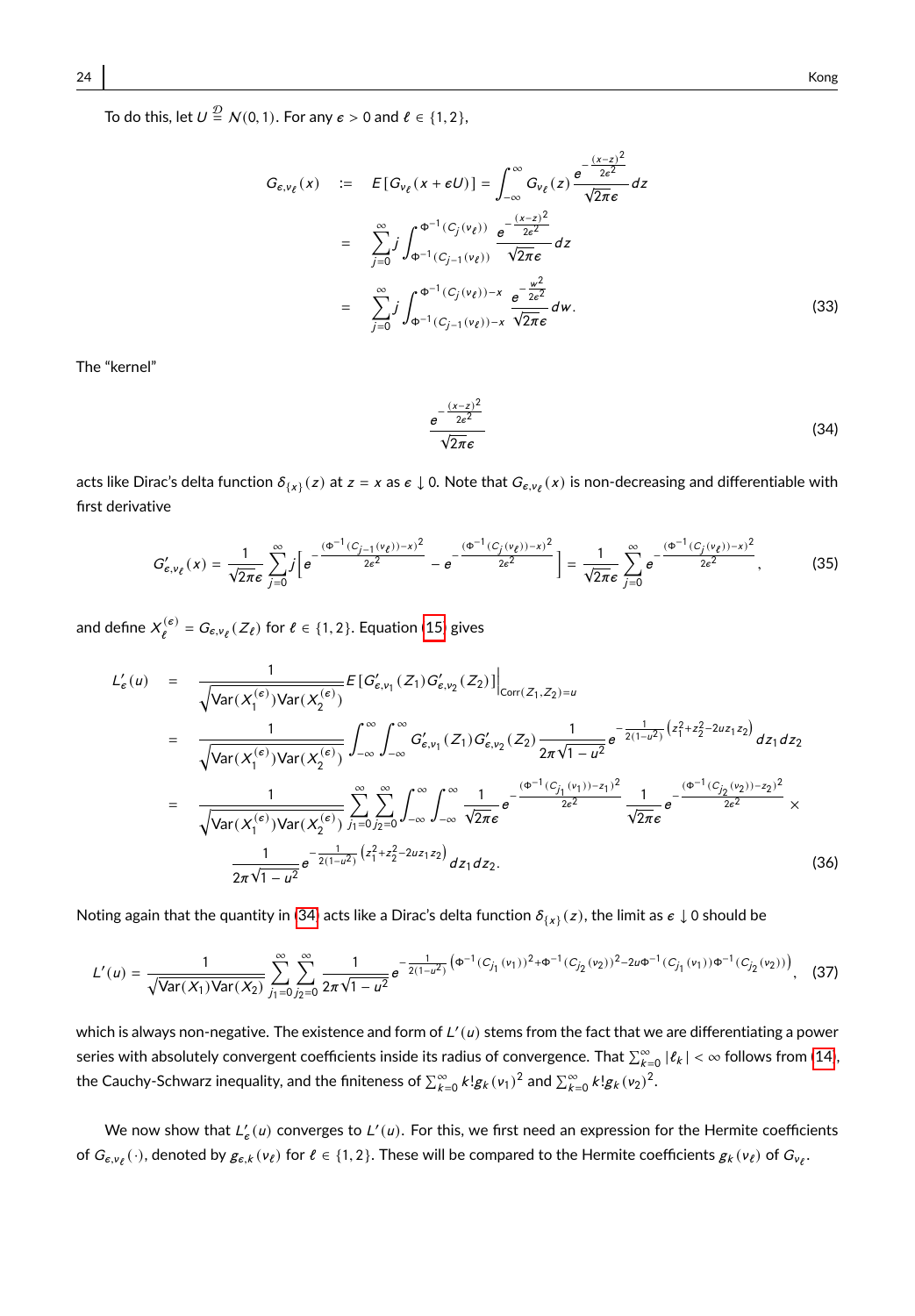To do this, let  $U \stackrel{\mathcal{D}}{=} N(0, 1)$ . For any  $\epsilon > 0$  and  $\ell \in \{1, 2\}$ ,

$$
G_{\varepsilon,\nu_{\ell}}(x) := E[G_{\nu_{\ell}}(x+\varepsilon U)] = \int_{-\infty}^{\infty} G_{\nu_{\ell}}(z) \frac{e^{-\frac{(x-z)^2}{2\varepsilon^2}}}{\sqrt{2\pi\varepsilon}} dz
$$
  
\n
$$
= \sum_{j=0}^{\infty} j \int_{\Phi^{-1}(C_j(v_{\ell}))}^{\Phi^{-1}(C_j(v_{\ell}))} \frac{e^{-\frac{(x-z)^2}{2\varepsilon^2}}}{\sqrt{2\pi\varepsilon}} dz
$$
  
\n
$$
= \sum_{j=0}^{\infty} j \int_{\Phi^{-1}(C_j(v_{\ell}))-x}^{\Phi^{-1}(C_j(v_{\ell}))-x} \frac{e^{-\frac{w^2}{2\varepsilon^2}}}{\sqrt{2\pi\varepsilon}} dw.
$$
 (33)

<span id="page-23-0"></span>The "kernel"

$$
\frac{e^{-\frac{(x-z)^2}{2e^2}}}{\sqrt{2\pi}\epsilon}
$$
\n(34)

acts like Dirac's delta function  $\delta_{\{x\}}(z)$  at  $z=x$  as  $\varepsilon\downarrow$  0. Note that  $G_{\varepsilon,\nu_\ell}(x)$  is non-decreasing and differentiable with<br>And the state of the state of the state of the state of the state of the state of t first derivative

$$
G'_{\epsilon,\nu_{\ell}}(x) = \frac{1}{\sqrt{2\pi}\epsilon} \sum_{j=0}^{\infty} j \left[ e^{-\frac{(\Phi^{-1}(C_{j-1}(\nu_{\ell})) - x)^2}{2\epsilon^2}} - e^{-\frac{(\Phi^{-1}(C_j(\nu_{\ell})) - x)^2}{2\epsilon^2}} \right] = \frac{1}{\sqrt{2\pi}\epsilon} \sum_{j=0}^{\infty} e^{-\frac{(\Phi^{-1}(C_j(\nu_{\ell})) - x)^2}{2\epsilon^2}},
$$
(35)

and define  $X_{\ell}^{(\epsilon)} = G_{\epsilon,\nu_{\ell}}(Z_{\ell})$  for  $\ell \in \{1,2\}$ . Equation [\(15\)](#page-7-1) gives

$$
L'_{\epsilon}(u) = \frac{1}{\sqrt{\text{Var}(X_1^{(\epsilon)})\text{Var}(X_2^{(\epsilon)})}} E[G'_{\epsilon,\nu_1}(Z_1)G'_{\epsilon,\nu_2}(Z_2)]\Big|_{\text{Corr}(Z_1,Z_2)=u}
$$
\n
$$
= \frac{1}{\sqrt{\text{Var}(X_1^{(\epsilon)})\text{Var}(X_2^{(\epsilon)})}} \int_{-\infty}^{\infty} \int_{-\infty}^{\infty} G'_{\epsilon,\nu_1}(Z_1)G'_{\epsilon,\nu_2}(Z_2) \frac{1}{2\pi\sqrt{1-u^2}} e^{-\frac{1}{2(1-u^2)}(z_1^2 + z_2^2 - 2uz_1z_2)} dz_1 dz_2
$$
\n
$$
= \frac{1}{\sqrt{\text{Var}(X_1^{(\epsilon)})\text{Var}(X_2^{(\epsilon)})}} \sum_{j_1=0}^{\infty} \sum_{j_2=0}^{\infty} \int_{-\infty}^{\infty} \int_{-\infty}^{\infty} \frac{1}{\sqrt{2\pi}\epsilon} e^{-\frac{(\Phi^{-1}(C_{j_1}(\nu_1))-z_1)^2}{2\epsilon^2}} \frac{1}{\sqrt{2\pi}\epsilon} e^{-\frac{(\Phi^{-1}(C_{j_2}(\nu_2))-z_2)^2}{2\epsilon^2}} \times \frac{1}{2\pi\sqrt{1-u^2}} e^{-\frac{1}{2(1-u^2)}(z_1^2 + z_2^2 - 2uz_1z_2)} dz_1 dz_2.
$$
\n(36)

Noting again that the quantity in [\(34\)](#page-23-0) acts like a Dirac's delta function  $\delta_{\{X\}}(z)$ , the limit as  $\varepsilon\downarrow$  0 should be

$$
L'(u) = \frac{1}{\sqrt{\text{Var}(X_1)\text{Var}(X_2)}} \sum_{j_1=0}^{\infty} \sum_{j_2=0}^{\infty} \frac{1}{2\pi\sqrt{1-u^2}} e^{-\frac{1}{2(1-u^2)} \left(\Phi^{-1}(C_{j_1}(v_1))^2 + \Phi^{-1}(C_{j_2}(v_2))^2 - 2u\Phi^{-1}(C_{j_1}(v_1))\Phi^{-1}(C_{j_2}(v_2))\right)},
$$
(37)

which is always non-negative. The existence and form of  $L'(u)$  stems from the fact that we are differentiating a power series with absolutely convergent coefficients inside its radius of convergence. That  $\sum_{\alpha=0}^{\infty} |\ell_k| < \infty$  follows from [\(14\)](#page-6-2), the Cauchy-Schwarz inequality, and the finiteness of  $\sum_{k=0}^{\infty} k! g_k(v_1)^2$  and  $\sum_{k=0}^{\infty} k! g_k(v_2)^2$ .

We now show that  $L'_{\epsilon}(u)$  converges to  $L'(u)$ . For this, we first need an expression for the Hermite coefficients of  $G_{\varepsilon,\nu_\ell}(\cdot)$ , denoted by  $g_{\varepsilon,k}(\nu_\ell)$  for  $\ell\in\{1,2\}.$  These will be compared to the Hermite coefficients  $g_k(\nu_\ell)$  of  $G_{\nu_\ell}.$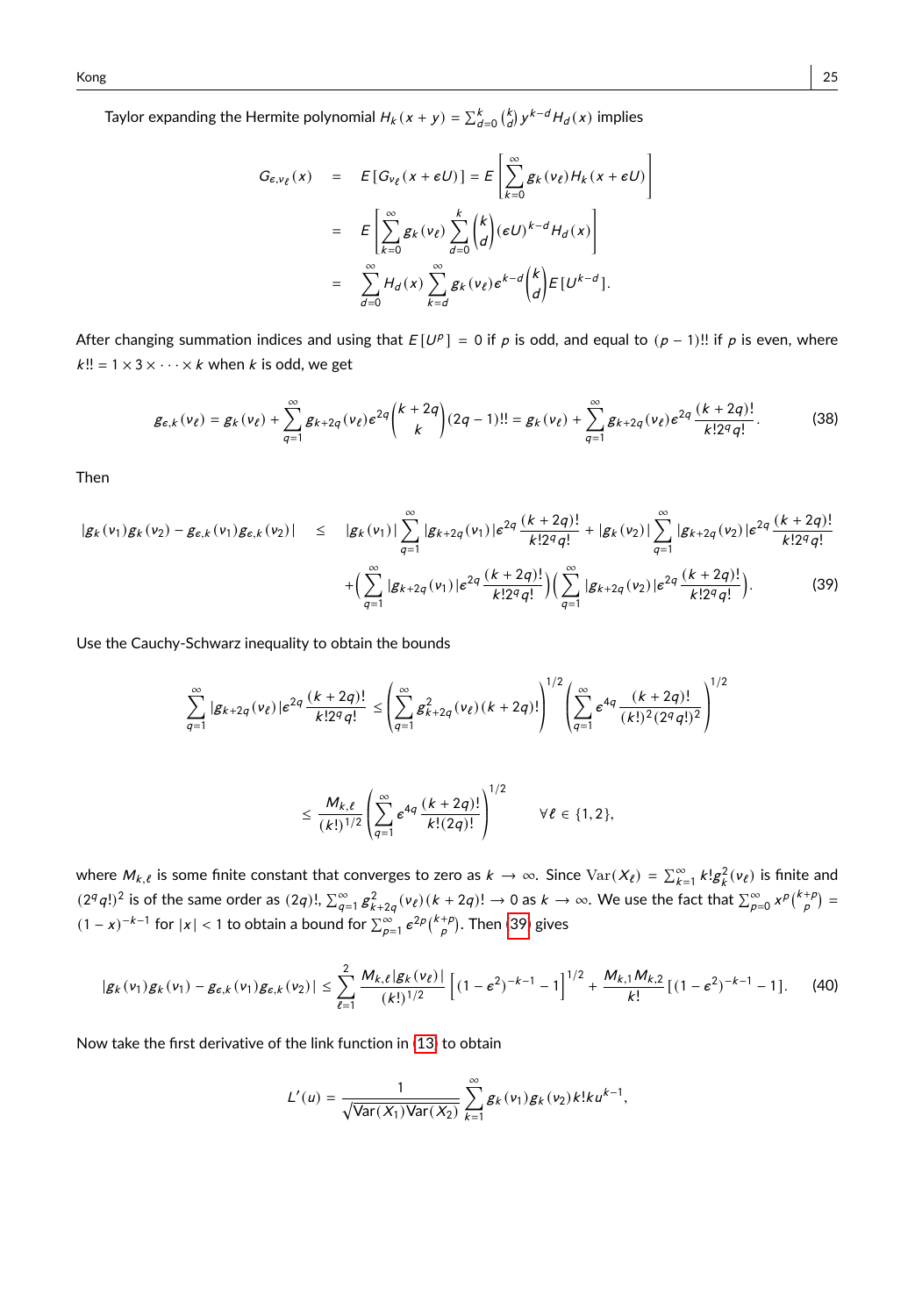Taylor expanding the Hermite polynomial  $H_k(x + y) = \sum_{d=0}^k {k \choose d} y^{k-d} H_d(x)$  implies

$$
G_{\epsilon, v_{\ell}}(x) = E[G_{v_{\ell}}(x + \epsilon U)] = E\left[\sum_{k=0}^{\infty} g_k(v_{\ell}) H_k(x + \epsilon U)\right]
$$
  

$$
= E\left[\sum_{k=0}^{\infty} g_k(v_{\ell}) \sum_{d=0}^{k} {k \choose d} (\epsilon U)^{k-d} H_d(x)\right]
$$
  

$$
= \sum_{d=0}^{\infty} H_d(x) \sum_{k=d}^{\infty} g_k(v_{\ell}) e^{k-d} {k \choose d} E[U^{k-d}].
$$

After changing summation indices and using that  $E[U^p] = 0$  if  $\rho$  is odd, and equal to  $(\rho - 1)!!$  if  $\rho$  is even, where  $k!! = 1 \times 3 \times \cdots \times k$  when k is odd, we get

$$
g_{\epsilon,k}(v_{\ell}) = g_k(v_{\ell}) + \sum_{q=1}^{\infty} g_{k+2q}(v_{\ell}) \epsilon^{2q} {k+2q \choose k} (2q-1)!! = g_k(v_{\ell}) + \sum_{q=1}^{\infty} g_{k+2q}(v_{\ell}) \epsilon^{2q} \frac{(k+2q)!}{k!2^q q!}.
$$
 (38)

Then

<span id="page-24-0"></span>
$$
|g_{k}(v_{1})g_{k}(v_{2}) - g_{\epsilon,k}(v_{1})g_{\epsilon,k}(v_{2})| \leq |g_{k}(v_{1})| \sum_{q=1}^{\infty} |g_{k+2q}(v_{1})| \epsilon^{2q} \frac{(k+2q)!}{k!2^{q}q!} + |g_{k}(v_{2})| \sum_{q=1}^{\infty} |g_{k+2q}(v_{2})| \epsilon^{2q} \frac{(k+2q)!}{k!2^{q}q!} + \left(\sum_{q=1}^{\infty} |g_{k+2q}(v_{1})| \epsilon^{2q} \frac{(k+2q)!}{k!2^{q}q!}\right) \left(\sum_{q=1}^{\infty} |g_{k+2q}(v_{2})| \epsilon^{2q} \frac{(k+2q)!}{k!2^{q}q!}\right).
$$
 (39)

Use the Cauchy-Schwarz inequality to obtain the bounds

$$
\sum_{q=1}^{\infty} |g_{k+2q}(v_{\ell})| \epsilon^{2q} \frac{(k+2q)!}{k!2^q q!} \leq \left(\sum_{q=1}^{\infty} g_{k+2q}^2(v_{\ell}) (k+2q)! \right)^{1/2} \left(\sum_{q=1}^{\infty} \epsilon^{4q} \frac{(k+2q)!}{(k!)^2 (2^q q!)^2}\right)^{1/2}
$$

<span id="page-24-1"></span>
$$
\leq \frac{M_{k,\ell}}{(k!)^{1/2}} \left( \sum_{q=1}^{\infty} \epsilon^{4q} \frac{(k+2q)!}{k!(2q)!} \right)^{1/2} \qquad \forall \ell \in \{1,2\},
$$

where  $M_{k,\ell}$  is some finite constant that converges to zero as  $k \to \infty$ . Since  $\text{Var}(X_{\ell}) = \sum_{k=1}^{\infty} k! g_k^2(v_{\ell})$  is finite and  $(2^q q!)^2$  is of the same order as  $(2q)!$ ,  $\sum_{q=1}^{\infty} g_{k+2q}^2 (v_\ell) (k+2q)! \to 0$  as  $k \to \infty$ . We use the fact that  $\sum_{p=0}^{\infty} x^p \binom{k+p}{p} =$  $(1-x)^{-k-1}$  for  $|x| < 1$  to obtain a bound for  $\sum_{p=1}^{\infty} e^{2p} {k+\rho \choose p}$ . Then [\(39\)](#page-24-0) gives

$$
|g_k(v_1)g_k(v_1) - g_{\epsilon,k}(v_1)g_{\epsilon,k}(v_2)| \leq \sum_{\ell=1}^2 \frac{M_{k,\ell}|g_k(v_\ell)|}{(k!)^{1/2}} \left[ (1-\epsilon^2)^{-k-1} - 1 \right]^{1/2} + \frac{M_{k,1}M_{k,2}}{k!} \left[ (1-\epsilon^2)^{-k-1} - 1 \right].
$$
 (40)

Now take the first derivative of the link function in [\(13\)](#page-6-0) to obtain

$$
L'(u) = \frac{1}{\sqrt{\text{Var}(X_1)\text{Var}(X_2)}} \sum_{k=1}^{\infty} g_k(v_1) g_k(v_2) k! k u^{k-1},
$$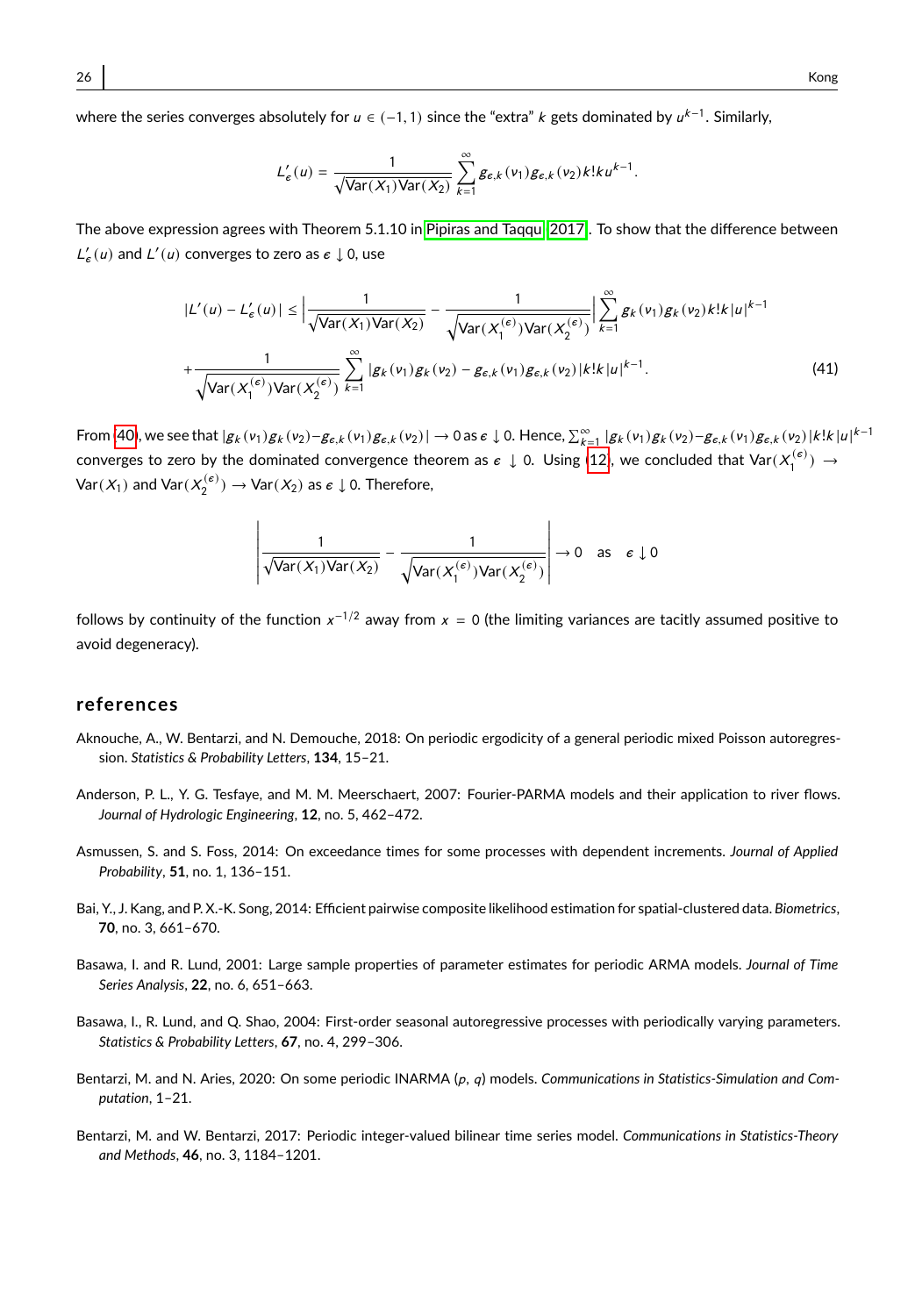where the series converges absolutely for  $u \in (-1, 1)$  since the "extra" k gets dominated by  $u^{k-1}$ . Similarly,

$$
L'_{\epsilon}(u)=\frac{1}{\sqrt{\text{Var}(X_1)\text{Var}(X_2)}}\sum_{k=1}^{\infty}\mathbf{g}_{\epsilon,k}(v_1)\mathbf{g}_{\epsilon,k}(v_2)k!ku^{k-1}.
$$

The above expression agrees with Theorem 5.1.10 in [Pipiras and Taqqu \(2017\)](#page-28-13). To show that the difference between  $L'_{\epsilon}(u)$  and  $L'(u)$  converges to zero as  $\epsilon \downarrow 0$ , use

$$
|L'(u) - L'_{\epsilon}(u)| \le \left| \frac{1}{\sqrt{\text{Var}(X_1)\text{Var}(X_2)}} - \frac{1}{\sqrt{\text{Var}(X_1^{(\epsilon)})\text{Var}(X_2^{(\epsilon)})}} \right| \sum_{k=1}^{\infty} g_k(v_1) g_k(v_2) k! k |u|^{k-1}
$$
  
+ 
$$
\frac{1}{\sqrt{\text{Var}(X_1^{(\epsilon)})\text{Var}(X_2^{(\epsilon)})}} \sum_{k=1}^{\infty} |g_k(v_1) g_k(v_2) - g_{\epsilon,k}(v_1) g_{\epsilon,k}(v_2)| k! k |u|^{k-1}.
$$
 (41)

From [\(40\)](#page-24-1), we see that  $|g_k(v_1)g_k(v_2)-g_{\varepsilon,k}(v_1)g_{\varepsilon,k}(v_2)| \to 0$  as  $\varepsilon \downarrow 0$ . Hence,  $\sum_{k=1}^{\infty} |g_k(v_1)g_k(v_2)-g_{\varepsilon,k}(v_1)g_{\varepsilon,k}(v_2)|k!k|u|^{k-1}$ converges to zero by the dominated convergence theorem as  $\epsilon\downarrow$  0. Using [\(12\)](#page-6-3), we concluded that  $\text{Var}(X_1^{(\epsilon)})\to$  $\textsf{Var}(X_1)$  and  $\textsf{Var}(X_2^{(\varepsilon)}) \to \textsf{Var}(X_2)$  as  $\epsilon \downarrow 0$ . Therefore,

$$
\left|\frac{1}{\sqrt{\text{Var}(X_1)\text{Var}(X_2)}} - \frac{1}{\sqrt{\text{Var}(X_1^{(\varepsilon)})\text{Var}(X_2^{(\varepsilon)})}}\right| \to 0 \text{ as } \varepsilon \downarrow 0
$$

follows by continuity of the function  $x^{-1/2}$  away from  $x = 0$  (the limiting variances are tacitly assumed positive to avoid degeneracy).

## **references**

 $\overline{a}$ 

- <span id="page-25-3"></span>Aknouche, A., W. Bentarzi, and N. Demouche, 2018: On periodic ergodicity of a general periodic mixed Poisson autoregression. *Statistics & Probability Letters*, **134**, 15–21.
- <span id="page-25-7"></span>Anderson, P. L., Y. G. Tesfaye, and M. M. Meerschaert, 2007: Fourier-PARMA models and their application to river flows. *Journal of Hydrologic Engineering*, **12**, no. 5, 462–472.
- <span id="page-25-1"></span>Asmussen, S. and S. Foss, 2014: On exceedance times for some processes with dependent increments. *Journal of Applied Probability*, **51**, no. 1, 136–151.
- <span id="page-25-6"></span>Bai, Y., J. Kang, and P. X.-K. Song, 2014: Efficient pairwise composite likelihood estimation for spatial-clustered data. *Biometrics*, **70**, no. 3, 661–670.
- <span id="page-25-4"></span>Basawa, I. and R. Lund, 2001: Large sample properties of parameter estimates for periodic ARMA models. *Journal of Time Series Analysis*, **22**, no. 6, 651–663.
- <span id="page-25-5"></span>Basawa, I., R. Lund, and Q. Shao, 2004: First-order seasonal autoregressive processes with periodically varying parameters. *Statistics & Probability Letters*, **67**, no. 4, 299–306.
- <span id="page-25-0"></span>Bentarzi, M. and N. Aries, 2020: On some periodic INARMA (p, q) models. Communications in Statistics-Simulation and Com*putation*, 1–21.
- <span id="page-25-2"></span>Bentarzi, M. and W. Bentarzi, 2017: Periodic integer-valued bilinear time series model. *Communications in Statistics-Theory and Methods*, **46**, no. 3, 1184–1201.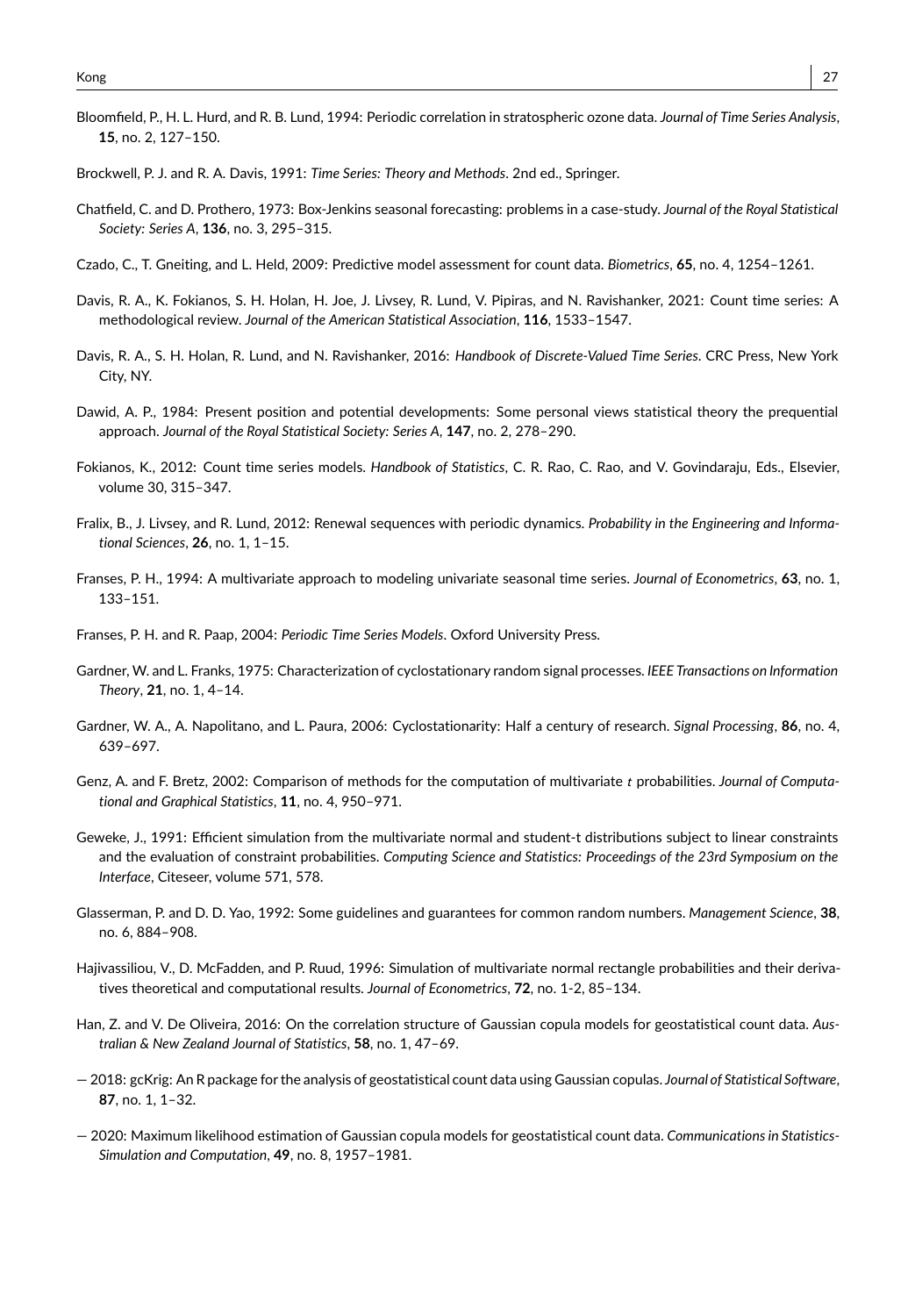- <span id="page-26-4"></span>Bloomfield, P., H. L. Hurd, and R. B. Lund, 1994: Periodic correlation in stratospheric ozone data. *Journal of Time Series Analysis*, **15**, no. 2, 127–150.
- <span id="page-26-10"></span>Brockwell, P. J. and R. A. Davis, 1991: *Time Series: Theory and Methods*. 2nd ed., Springer.
- <span id="page-26-9"></span>Chatfield, C. and D. Prothero, 1973: Box-Jenkins seasonal forecasting: problems in a case-study. *Journal of the Royal Statistical Society: Series A*, **136**, no. 3, 295–315.
- <span id="page-26-18"></span>Czado, C., T. Gneiting, and L. Held, 2009: Predictive model assessment for count data. *Biometrics*, **65**, no. 4, 1254–1261.
- <span id="page-26-2"></span>Davis, R. A., K. Fokianos, S. H. Holan, H. Joe, J. Livsey, R. Lund, V. Pipiras, and N. Ravishanker, 2021: Count time series: A methodological review. *Journal of the American Statistical Association*, **116**, 1533–1547.
- <span id="page-26-1"></span>Davis, R. A., S. H. Holan, R. Lund, and N. Ravishanker, 2016: *Handbook of Discrete-Valued Time Series*. CRC Press, New York City, NY.
- <span id="page-26-17"></span>Dawid, A. P., 1984: Present position and potential developments: Some personal views statistical theory the prequential approach. *Journal of the Royal Statistical Society: Series A*, **147**, no. 2, 278–290.
- <span id="page-26-0"></span>Fokianos, K., 2012: Count time series models. *Handbook of Statistics*, C. R. Rao, C. Rao, and V. Govindaraju, Eds., Elsevier, volume 30, 315–347.
- <span id="page-26-3"></span>Fralix, B., J. Livsey, and R. Lund, 2012: Renewal sequences with periodic dynamics. *Probability in the Engineering and Informational Sciences*, **26**, no. 1, 1–15.
- <span id="page-26-5"></span>Franses, P. H., 1994: A multivariate approach to modeling univariate seasonal time series. *Journal of Econometrics*, **63**, no. 1, 133–151.
- <span id="page-26-6"></span>Franses, P. H. and R. Paap, 2004: *Periodic Time Series Models*. Oxford University Press.
- <span id="page-26-7"></span>Gardner, W. and L. Franks, 1975: Characterization of cyclostationary random signal processes. *IEEE Transactions on Information Theory*, **21**, no. 1, 4–14.
- <span id="page-26-8"></span>Gardner, W. A., A. Napolitano, and L. Paura, 2006: Cyclostationarity: Half a century of research. *Signal Processing*, **86**, no. 4, 639–697.
- <span id="page-26-12"></span>Genz, A. and F. Bretz, 2002: Comparison of methods for the computation of multivariate t probabilities. *Journal of Computational and Graphical Statistics*, **11**, no. 4, 950–971.
- <span id="page-26-13"></span>Geweke, J., 1991: Efficient simulation from the multivariate normal and student-t distributions subject to linear constraints and the evaluation of constraint probabilities. *Computing Science and Statistics: Proceedings of the 23rd Symposium on the Interface*, Citeseer, volume 571, 578.
- <span id="page-26-16"></span>Glasserman, P. and D. D. Yao, 1992: Some guidelines and guarantees for common random numbers. *Management Science*, **38**, no. 6, 884–908.
- <span id="page-26-14"></span>Hajivassiliou, V., D. McFadden, and P. Ruud, 1996: Simulation of multivariate normal rectangle probabilities and their derivatives theoretical and computational results. *Journal of Econometrics*, **72**, no. 1-2, 85–134.
- <span id="page-26-11"></span>Han, Z. and V. De Oliveira, 2016: On the correlation structure of Gaussian copula models for geostatistical count data. *Australian & New Zealand Journal of Statistics*, **58**, no. 1, 47–69.
- <span id="page-26-19"></span>— 2018: gcKrig: An R package for the analysis of geostatistical count data using Gaussian copulas. *Journal of Statistical Software*, **87**, no. 1, 1–32.
- <span id="page-26-15"></span>— 2020: Maximum likelihood estimation of Gaussian copula models for geostatistical count data. *Communications in Statistics-Simulation and Computation*, **49**, no. 8, 1957–1981.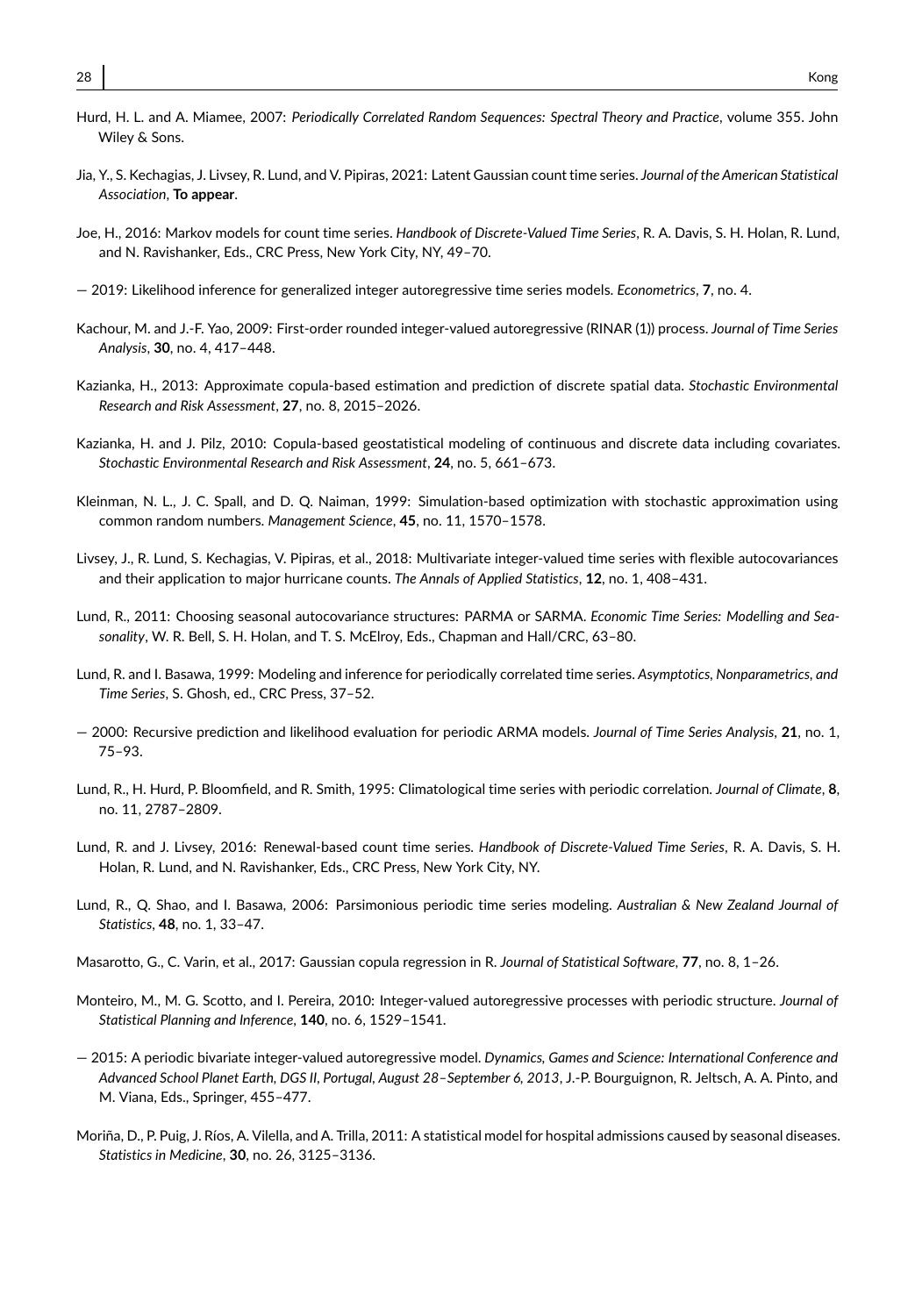- <span id="page-27-12"></span><span id="page-27-0"></span>Jia, Y., S. Kechagias, J. Livsey, R. Lund, and V. Pipiras, 2021: Latent Gaussian count time series. *Journal of the American Statistical Association*, **To appear**.
- <span id="page-27-2"></span>Joe, H., 2016: Markov models for count time series. *Handbook of Discrete-Valued Time Series*, R. A. Davis, S. H. Holan, R. Lund, and N. Ravishanker, Eds., CRC Press, New York City, NY, 49–70.
- <span id="page-27-5"></span>— 2019: Likelihood inference for generalized integer autoregressive time series models. *Econometrics*, **7**, no. 4.
- <span id="page-27-3"></span>Kachour, M. and J.-F. Yao, 2009: First-order rounded integer-valued autoregressive (RINAR (1)) process. *Journal of Time Series Analysis*, **30**, no. 4, 417–448.
- <span id="page-27-16"></span>Kazianka, H., 2013: Approximate copula-based estimation and prediction of discrete spatial data. *Stochastic Environmental Research and Risk Assessment*, **27**, no. 8, 2015–2026.
- <span id="page-27-15"></span>Kazianka, H. and J. Pilz, 2010: Copula-based geostatistical modeling of continuous and discrete data including covariates. *Stochastic Environmental Research and Risk Assessment*, **24**, no. 5, 661–673.
- <span id="page-27-17"></span>Kleinman, N. L., J. C. Spall, and D. Q. Naiman, 1999: Simulation-based optimization with stochastic approximation using common random numbers. *Management Science*, **45**, no. 11, 1570–1578.
- <span id="page-27-4"></span>Livsey, J., R. Lund, S. Kechagias, V. Pipiras, et al., 2018: Multivariate integer-valued time series with flexible autocovariances and their application to major hurricane counts. *The Annals of Applied Statistics*, **12**, no. 1, 408–431.
- <span id="page-27-10"></span>Lund, R., 2011: Choosing seasonal autocovariance structures: PARMA or SARMA. *Economic Time Series: Modelling and Seasonality*, W. R. Bell, S. H. Holan, and T. S. McElroy, Eds., Chapman and Hall/CRC, 63–80.
- <span id="page-27-9"></span>Lund, R. and I. Basawa, 1999: Modeling and inference for periodically correlated time series. *Asymptotics, Nonparametrics, and Time Series*, S. Ghosh, ed., CRC Press, 37–52.
- <span id="page-27-13"></span>— 2000: Recursive prediction and likelihood evaluation for periodic ARMA models. *Journal of Time Series Analysis*, **21**, no. 1, 75–93.
- <span id="page-27-11"></span>Lund, R., H. Hurd, P. Bloomfield, and R. Smith, 1995: Climatological time series with periodic correlation. *Journal of Climate*, **8**, no. 11, 2787–2809.
- <span id="page-27-6"></span>Lund, R. and J. Livsey, 2016: Renewal-based count time series. *Handbook of Discrete-Valued Time Series*, R. A. Davis, S. H. Holan, R. Lund, and N. Ravishanker, Eds., CRC Press, New York City, NY.
- <span id="page-27-14"></span>Lund, R., Q. Shao, and I. Basawa, 2006: Parsimonious periodic time series modeling. *Australian & New Zealand Journal of Statistics*, **48**, no. 1, 33–47.
- <span id="page-27-18"></span>Masarotto, G., C. Varin, et al., 2017: Gaussian copula regression in R. *Journal of Statistical Software*, **77**, no. 8, 1–26.
- <span id="page-27-1"></span>Monteiro, M., M. G. Scotto, and I. Pereira, 2010: Integer-valued autoregressive processes with periodic structure. *Journal of Statistical Planning and Inference*, **140**, no. 6, 1529–1541.
- <span id="page-27-8"></span>— 2015: A periodic bivariate integer-valued autoregressive model. *Dynamics, Games and Science: International Conference and Advanced School Planet Earth, DGS II, Portugal, August 28–September 6, 2013*, J.-P. Bourguignon, R. Jeltsch, A. A. Pinto, and M. Viana, Eds., Springer, 455–477.
- <span id="page-27-7"></span>Moriña, D., P. Puig, J. Ríos, A. Vilella, and A. Trilla, 2011: A statistical model for hospital admissions caused by seasonal diseases. *Statistics in Medicine*, **30**, no. 26, 3125–3136.